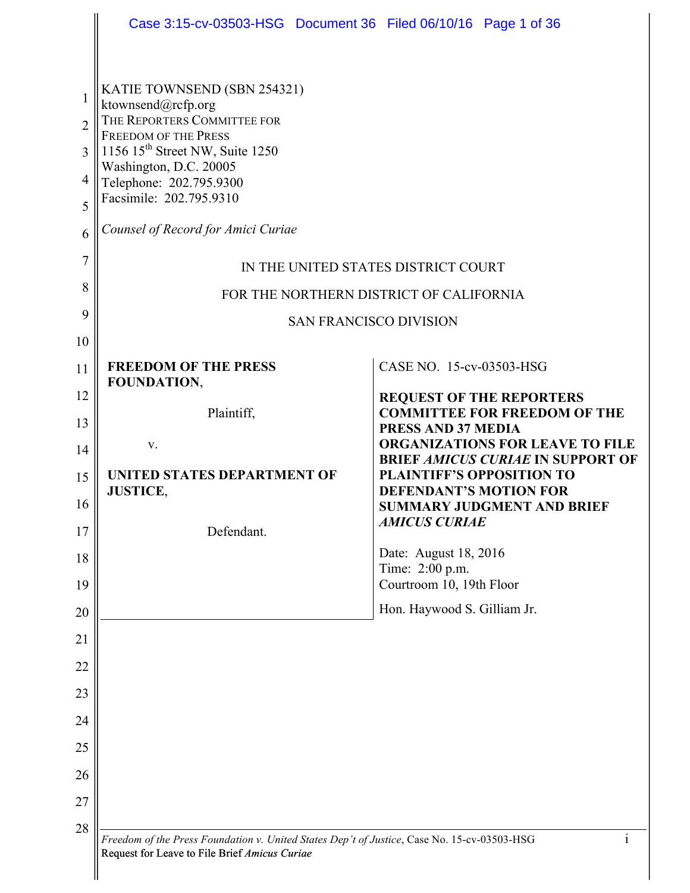|                | Case 3:15-cv-03503-HSG Document 36 Filed 06/10/16 Page 1 of 36                                                                                               |                                                                                    |
|----------------|--------------------------------------------------------------------------------------------------------------------------------------------------------------|------------------------------------------------------------------------------------|
|                |                                                                                                                                                              |                                                                                    |
| 1              | KATIE TOWNSEND (SBN 254321)<br>ktownsend@rcfp.org                                                                                                            |                                                                                    |
| $\overline{2}$ | THE REPORTERS COMMITTEE FOR<br><b>FREEDOM OF THE PRESS</b>                                                                                                   |                                                                                    |
| 3              | 1156 15 <sup>th</sup> Street NW, Suite 1250<br>Washington, D.C. 20005                                                                                        |                                                                                    |
| 4              | Telephone: 202.795.9300                                                                                                                                      |                                                                                    |
| 5              | Facsimile: 202.795.9310                                                                                                                                      |                                                                                    |
| 6              | Counsel of Record for Amici Curiae                                                                                                                           |                                                                                    |
| $\overline{7}$ | IN THE UNITED STATES DISTRICT COURT                                                                                                                          |                                                                                    |
| 8              |                                                                                                                                                              | FOR THE NORTHERN DISTRICT OF CALIFORNIA                                            |
| 9              |                                                                                                                                                              | <b>SAN FRANCISCO DIVISION</b>                                                      |
| 10             |                                                                                                                                                              |                                                                                    |
| 11             | <b>FREEDOM OF THE PRESS</b><br>FOUNDATION,                                                                                                                   | CASE NO. 15-cv-03503-HSG                                                           |
| 12             |                                                                                                                                                              | <b>REQUEST OF THE REPORTERS</b>                                                    |
| 13             | Plaintiff,                                                                                                                                                   | <b>COMMITTEE FOR FREEDOM OF THE</b><br>PRESS AND 37 MEDIA                          |
| 14             | V.                                                                                                                                                           | <b>ORGANIZATIONS FOR LEAVE TO FILE</b><br><b>BRIEF AMICUS CURIAE IN SUPPORT OF</b> |
| 15             | UNITED STATES DEPARTMENT OF<br><b>JUSTICE,</b>                                                                                                               | <b>PLAINTIFF'S OPPOSITION TO</b><br><b>DEFENDANT'S MOTION FOR</b>                  |
| 16             |                                                                                                                                                              | <b>SUMMARY JUDGMENT AND BRIEF</b>                                                  |
| 17             | Defendant.                                                                                                                                                   | <b>AMICUS CURIAE</b>                                                               |
| 18             |                                                                                                                                                              | Date: August 18, 2016<br>Time: 2:00 p.m.                                           |
| 19             |                                                                                                                                                              | Courtroom 10, 19th Floor                                                           |
| 20             | Hon. Haywood S. Gilliam Jr.                                                                                                                                  |                                                                                    |
| 21             |                                                                                                                                                              |                                                                                    |
| 22             |                                                                                                                                                              |                                                                                    |
| 23             |                                                                                                                                                              |                                                                                    |
| 24             |                                                                                                                                                              |                                                                                    |
| 25             |                                                                                                                                                              |                                                                                    |
| 26             |                                                                                                                                                              |                                                                                    |
| 27             |                                                                                                                                                              |                                                                                    |
| 28             |                                                                                                                                                              |                                                                                    |
|                | $\mathbf{i}$<br>Freedom of the Press Foundation v. United States Dep't of Justice, Case No. 15-cv-03503-HSG<br>Request for Leave to File Brief Amicus Curiae |                                                                                    |

 $\parallel$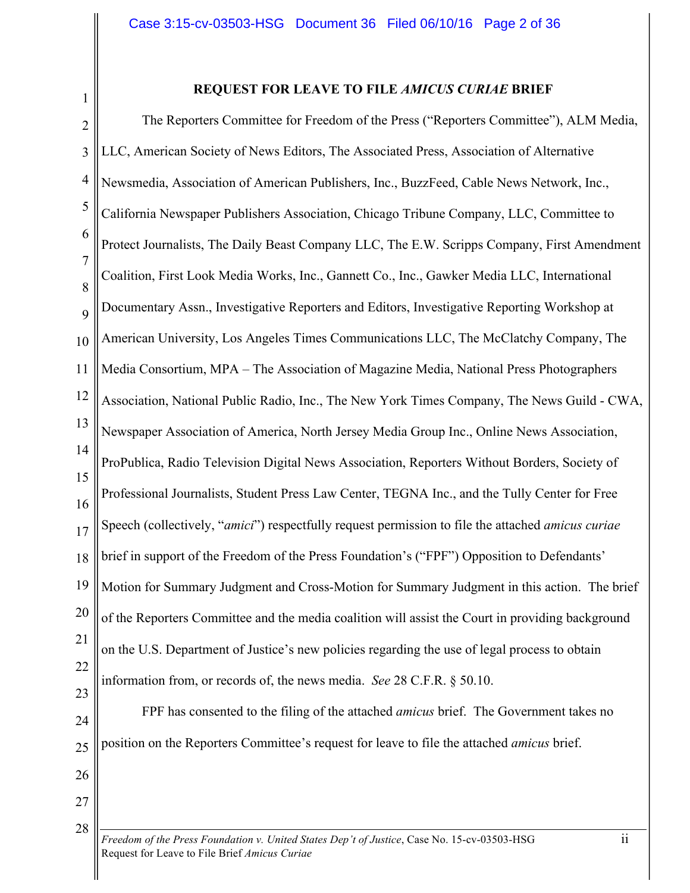1

# **REQUEST FOR LEAVE TO FILE** *AMICUS CURIAE* **BRIEF**

2 3 4 5 6 7 8 9 10 11 12 13 14 15 16 17 18 19 20 21 22 23 The Reporters Committee for Freedom of the Press ("Reporters Committee"), ALM Media, LLC, American Society of News Editors, The Associated Press, Association of Alternative Newsmedia, Association of American Publishers, Inc., BuzzFeed, Cable News Network, Inc., California Newspaper Publishers Association, Chicago Tribune Company, LLC, Committee to Protect Journalists, The Daily Beast Company LLC, The E.W. Scripps Company, First Amendment Coalition, First Look Media Works, Inc., Gannett Co., Inc., Gawker Media LLC, International Documentary Assn., Investigative Reporters and Editors, Investigative Reporting Workshop at American University, Los Angeles Times Communications LLC, The McClatchy Company, The Media Consortium, MPA – The Association of Magazine Media, National Press Photographers Association, National Public Radio, Inc., The New York Times Company, The News Guild - CWA, Newspaper Association of America, North Jersey Media Group Inc., Online News Association, ProPublica, Radio Television Digital News Association, Reporters Without Borders, Society of Professional Journalists, Student Press Law Center, TEGNA Inc., and the Tully Center for Free Speech (collectively, "*amici*") respectfully request permission to file the attached *amicus curiae*  brief in support of the Freedom of the Press Foundation's ("FPF") Opposition to Defendants' Motion for Summary Judgment and Cross-Motion for Summary Judgment in this action. The brief of the Reporters Committee and the media coalition will assist the Court in providing background on the U.S. Department of Justice's new policies regarding the use of legal process to obtain information from, or records of, the news media. *See* 28 C.F.R. § 50.10.

- 24 25 FPF has consented to the filing of the attached *amicus* brief. The Government takes no position on the Reporters Committee's request for leave to file the attached *amicus* brief.
- 26 27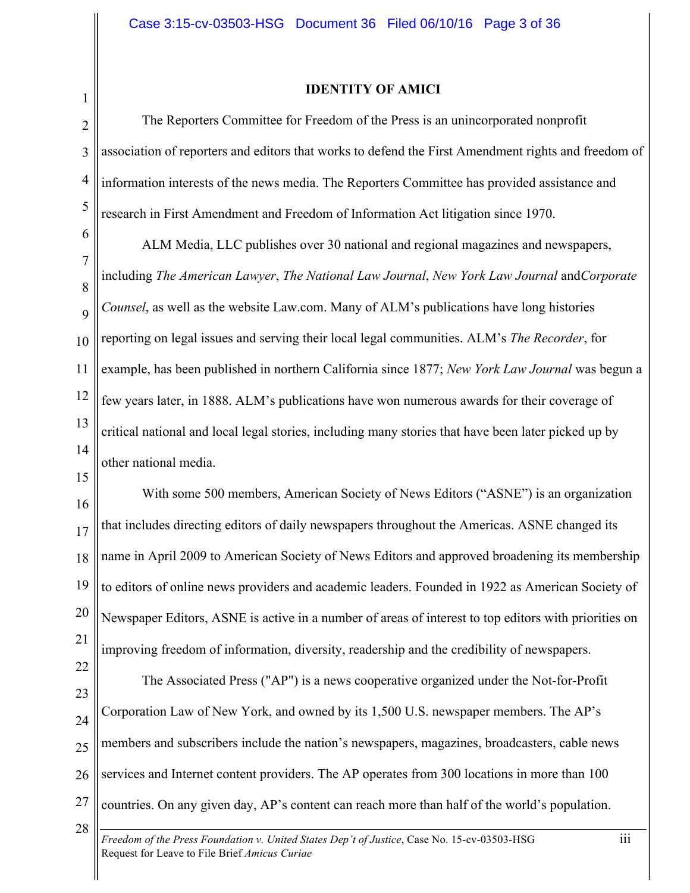1

## **IDENTITY OF AMICI**

2 3 4 5 The Reporters Committee for Freedom of the Press is an unincorporated nonprofit association of reporters and editors that works to defend the First Amendment rights and freedom of information interests of the news media. The Reporters Committee has provided assistance and research in First Amendment and Freedom of Information Act litigation since 1970.

6 7 8  $\overline{Q}$ 10 11 12 13 14 ALM Media, LLC publishes over 30 national and regional magazines and newspapers, including *The American Lawyer*, *The National Law Journal*, *New York Law Journal* and*Corporate Counsel*, as well as the website Law.com. Many of ALM's publications have long histories reporting on legal issues and serving their local legal communities. ALM's *The Recorder*, for example, has been published in northern California since 1877; *New York Law Journal* was begun a few years later, in 1888. ALM's publications have won numerous awards for their coverage of critical national and local legal stories, including many stories that have been later picked up by other national media.

15

16 17 18 19 20 21 With some 500 members, American Society of News Editors ("ASNE") is an organization that includes directing editors of daily newspapers throughout the Americas. ASNE changed its name in April 2009 to American Society of News Editors and approved broadening its membership to editors of online news providers and academic leaders. Founded in 1922 as American Society of Newspaper Editors, ASNE is active in a number of areas of interest to top editors with priorities on improving freedom of information, diversity, readership and the credibility of newspapers.

23 24 25 26 27 The Associated Press ("AP") is a news cooperative organized under the Not-for-Profit Corporation Law of New York, and owned by its 1,500 U.S. newspaper members. The AP's members and subscribers include the nation's newspapers, magazines, broadcasters, cable news services and Internet content providers. The AP operates from 300 locations in more than 100 countries. On any given day, AP's content can reach more than half of the world's population.

28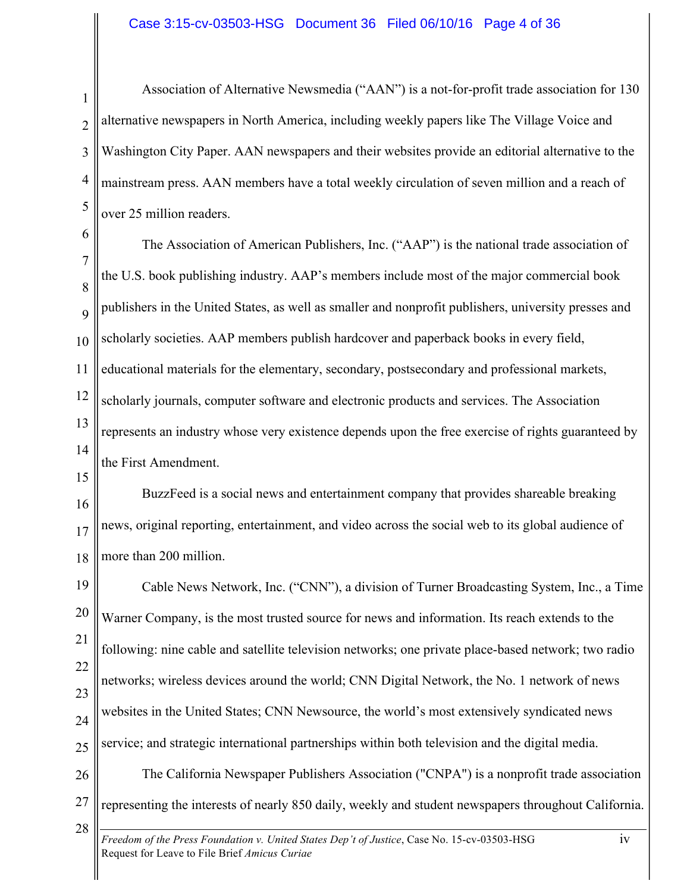#### Case 3:15-cv-03503-HSG Document 36 Filed 06/10/16 Page 4 of 36

1 2 3 4 5 Association of Alternative Newsmedia ("AAN") is a not-for-profit trade association for 130 alternative newspapers in North America, including weekly papers like The Village Voice and Washington City Paper. AAN newspapers and their websites provide an editorial alternative to the mainstream press. AAN members have a total weekly circulation of seven million and a reach of over 25 million readers.

6 7 8  $\overline{Q}$ 10 11 12 13 14 The Association of American Publishers, Inc. ("AAP") is the national trade association of the U.S. book publishing industry. AAP's members include most of the major commercial book publishers in the United States, as well as smaller and nonprofit publishers, university presses and scholarly societies. AAP members publish hardcover and paperback books in every field, educational materials for the elementary, secondary, postsecondary and professional markets, scholarly journals, computer software and electronic products and services. The Association represents an industry whose very existence depends upon the free exercise of rights guaranteed by the First Amendment.

15

16 17 18 BuzzFeed is a social news and entertainment company that provides shareable breaking news, original reporting, entertainment, and video across the social web to its global audience of more than 200 million.

19 20 21 22 23 24 25 Cable News Network, Inc. ("CNN"), a division of Turner Broadcasting System, Inc., a Time Warner Company, is the most trusted source for news and information. Its reach extends to the following: nine cable and satellite television networks; one private place-based network; two radio networks; wireless devices around the world; CNN Digital Network, the No. 1 network of news websites in the United States; CNN Newsource, the world's most extensively syndicated news service; and strategic international partnerships within both television and the digital media.

26 27 The California Newspaper Publishers Association ("CNPA") is a nonprofit trade association representing the interests of nearly 850 daily, weekly and student newspapers throughout California.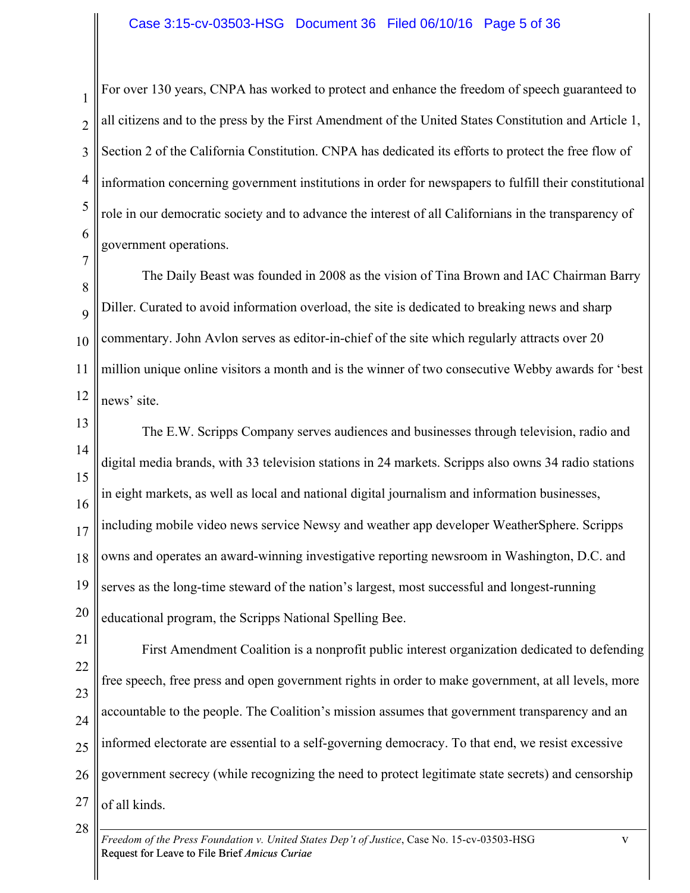1 2 3 4 5 6 For over 130 years, CNPA has worked to protect and enhance the freedom of speech guaranteed to all citizens and to the press by the First Amendment of the United States Constitution and Article 1, Section 2 of the California Constitution. CNPA has dedicated its efforts to protect the free flow of information concerning government institutions in order for newspapers to fulfill their constitutional role in our democratic society and to advance the interest of all Californians in the transparency of government operations.

7 8  $\overline{Q}$ 10 11 12 The Daily Beast was founded in 2008 as the vision of Tina Brown and IAC Chairman Barry Diller. Curated to avoid information overload, the site is dedicated to breaking news and sharp commentary. John Avlon serves as editor-in-chief of the site which regularly attracts over 20 million unique online visitors a month and is the winner of two consecutive Webby awards for 'best news' site.

- 13 14 15 16 17 18 19 20 The E.W. Scripps Company serves audiences and businesses through television, radio and digital media brands, with 33 television stations in 24 markets. Scripps also owns 34 radio stations in eight markets, as well as local and national digital journalism and information businesses, including mobile video news service Newsy and weather app developer WeatherSphere. Scripps owns and operates an award-winning investigative reporting newsroom in Washington, D.C. and serves as the long-time steward of the nation's largest, most successful and longest-running educational program, the Scripps National Spelling Bee.
- 21 22 23 24 25 26 27 First Amendment Coalition is a nonprofit public interest organization dedicated to defending free speech, free press and open government rights in order to make government, at all levels, more accountable to the people. The Coalition's mission assumes that government transparency and an informed electorate are essential to a self-governing democracy. To that end, we resist excessive government secrecy (while recognizing the need to protect legitimate state secrets) and censorship of all kinds.
	- *Freedom of the Press Foundation v. United States Dep't of Justice*, Case No. 15-cv-03503-HSG v Request for Leave to File Brief *Amicus Curiae*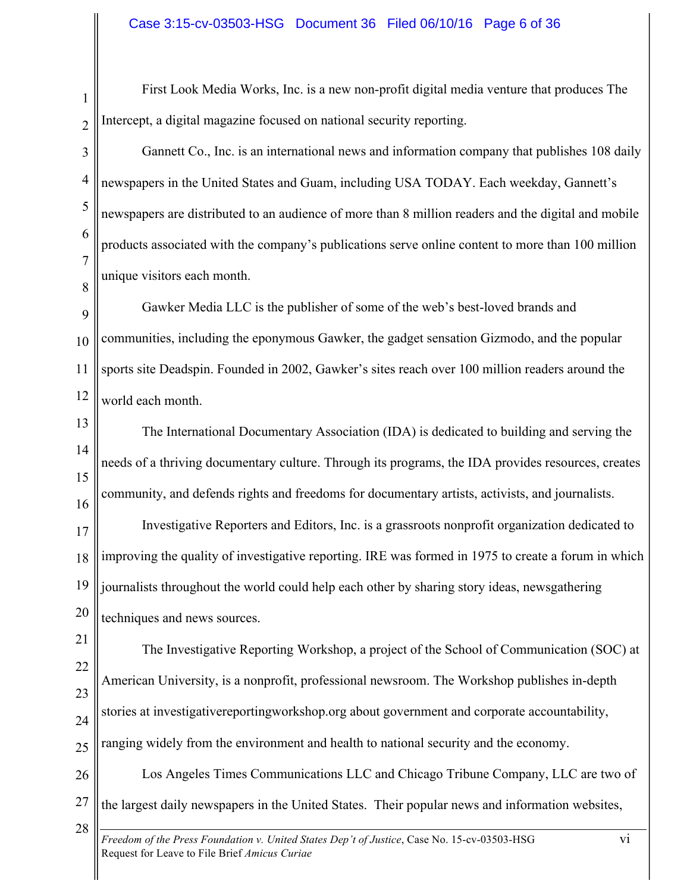First Look Media Works, Inc. is a new non-profit digital media venture that produces The Intercept, a digital magazine focused on national security reporting.

2 3

4

5

6

7

8

1

Gannett Co., Inc. is an international news and information company that publishes 108 daily newspapers in the United States and Guam, including USA TODAY. Each weekday, Gannett's newspapers are distributed to an audience of more than 8 million readers and the digital and mobile products associated with the company's publications serve online content to more than 100 million unique visitors each month.

9 10 11 12 Gawker Media LLC is the publisher of some of the web's best-loved brands and communities, including the eponymous Gawker, the gadget sensation Gizmodo, and the popular sports site Deadspin. Founded in 2002, Gawker's sites reach over 100 million readers around the world each month.

13 14 15 16 The International Documentary Association (IDA) is dedicated to building and serving the needs of a thriving documentary culture. Through its programs, the IDA provides resources, creates community, and defends rights and freedoms for documentary artists, activists, and journalists.

17 18 19 20 Investigative Reporters and Editors, Inc. is a grassroots nonprofit organization dedicated to improving the quality of investigative reporting. IRE was formed in 1975 to create a forum in which journalists throughout the world could help each other by sharing story ideas, newsgathering techniques and news sources.

21 22 23 24 25 The Investigative Reporting Workshop, a project of the School of Communication (SOC) at American University, is a nonprofit, professional newsroom. The Workshop publishes in-depth stories at investigativereportingworkshop.org about government and corporate accountability, ranging widely from the environment and health to national security and the economy.

26 27 Los Angeles Times Communications LLC and Chicago Tribune Company, LLC are two of the largest daily newspapers in the United States. Their popular news and information websites,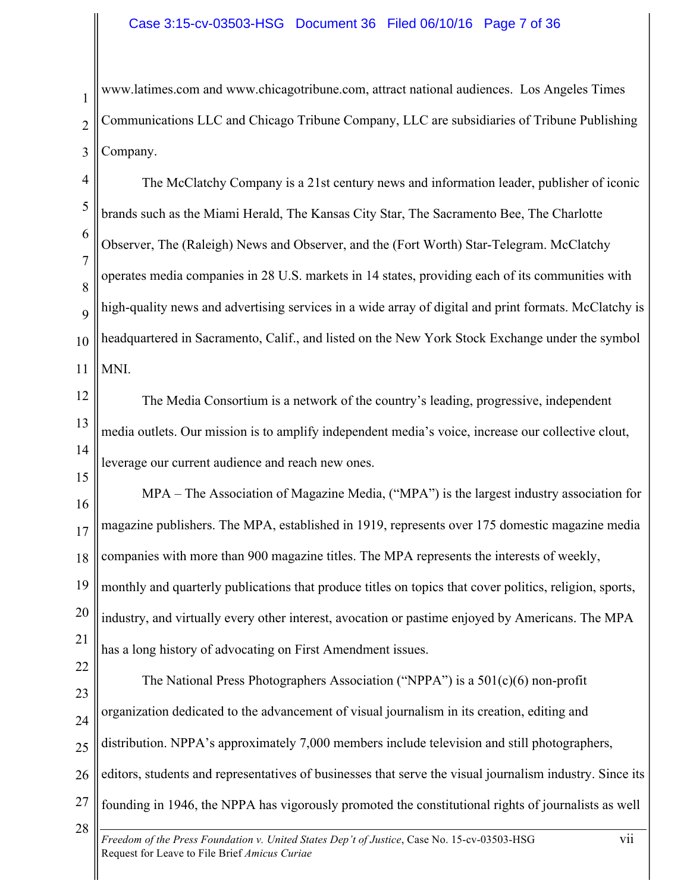# Case 3:15-cv-03503-HSG Document 36 Filed 06/10/16 Page 7 of 36

1 2 3 www.latimes.com and www.chicagotribune.com, attract national audiences. Los Angeles Times Communications LLC and Chicago Tribune Company, LLC are subsidiaries of Tribune Publishing Company.

4 5 6 7 8  $\mathbf Q$ 10 11 The McClatchy Company is a 21st century news and information leader, publisher of iconic brands such as the Miami Herald, The Kansas City Star, The Sacramento Bee, The Charlotte Observer, The (Raleigh) News and Observer, and the (Fort Worth) Star-Telegram. McClatchy operates media companies in 28 U.S. markets in 14 states, providing each of its communities with high-quality news and advertising services in a wide array of digital and print formats. McClatchy is headquartered in Sacramento, Calif., and listed on the New York Stock Exchange under the symbol MNI.

- 12 13 14 The Media Consortium is a network of the country's leading, progressive, independent media outlets. Our mission is to amplify independent media's voice, increase our collective clout, leverage our current audience and reach new ones.
- 15

22

28

16 17 18 19 MPA – The Association of Magazine Media, ("MPA") is the largest industry association for magazine publishers. The MPA, established in 1919, represents over 175 domestic magazine media companies with more than 900 magazine titles. The MPA represents the interests of weekly, monthly and quarterly publications that produce titles on topics that cover politics, religion, sports,

20 industry, and virtually every other interest, avocation or pastime enjoyed by Americans. The MPA

21 has a long history of advocating on First Amendment issues.

23 24 25 26 27 The National Press Photographers Association ("NPPA") is a 501(c)(6) non-profit organization dedicated to the advancement of visual journalism in its creation, editing and distribution. NPPA's approximately 7,000 members include television and still photographers, editors, students and representatives of businesses that serve the visual journalism industry. Since its founding in 1946, the NPPA has vigorously promoted the constitutional rights of journalists as well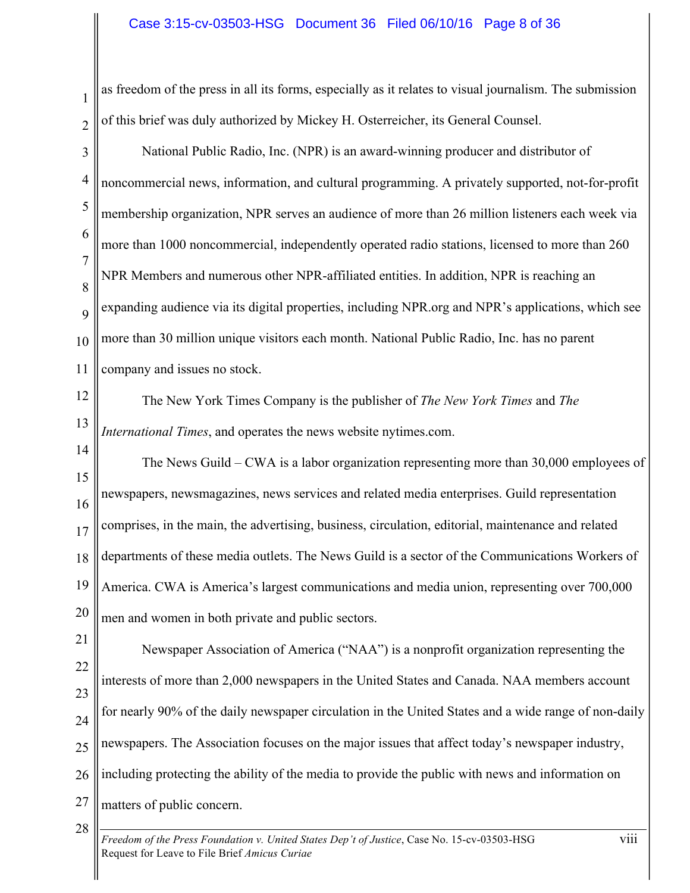### Case 3:15-cv-03503-HSG Document 36 Filed 06/10/16 Page 8 of 36

as freedom of the press in all its forms, especially as it relates to visual journalism. The submission of this brief was duly authorized by Mickey H. Osterreicher, its General Counsel.

3 4 5 6 7 8  $\overline{Q}$ 10 11 National Public Radio, Inc. (NPR) is an award-winning producer and distributor of noncommercial news, information, and cultural programming. A privately supported, not-for-profit membership organization, NPR serves an audience of more than 26 million listeners each week via more than 1000 noncommercial, independently operated radio stations, licensed to more than 260 NPR Members and numerous other NPR-affiliated entities. In addition, NPR is reaching an expanding audience via its digital properties, including NPR.org and NPR's applications, which see more than 30 million unique visitors each month. National Public Radio, Inc. has no parent company and issues no stock.

12

1

2

13 The New York Times Company is the publisher of *The New York Times* and *The International Times*, and operates the news website nytimes.com.

14 15 16 17 18 19 20 The News Guild – CWA is a labor organization representing more than 30,000 employees of newspapers, newsmagazines, news services and related media enterprises. Guild representation comprises, in the main, the advertising, business, circulation, editorial, maintenance and related departments of these media outlets. The News Guild is a sector of the Communications Workers of America. CWA is America's largest communications and media union, representing over 700,000 men and women in both private and public sectors.

21 22 23 24 25 26 27 Newspaper Association of America ("NAA") is a nonprofit organization representing the interests of more than 2,000 newspapers in the United States and Canada. NAA members account for nearly 90% of the daily newspaper circulation in the United States and a wide range of non-daily newspapers. The Association focuses on the major issues that affect today's newspaper industry, including protecting the ability of the media to provide the public with news and information on matters of public concern.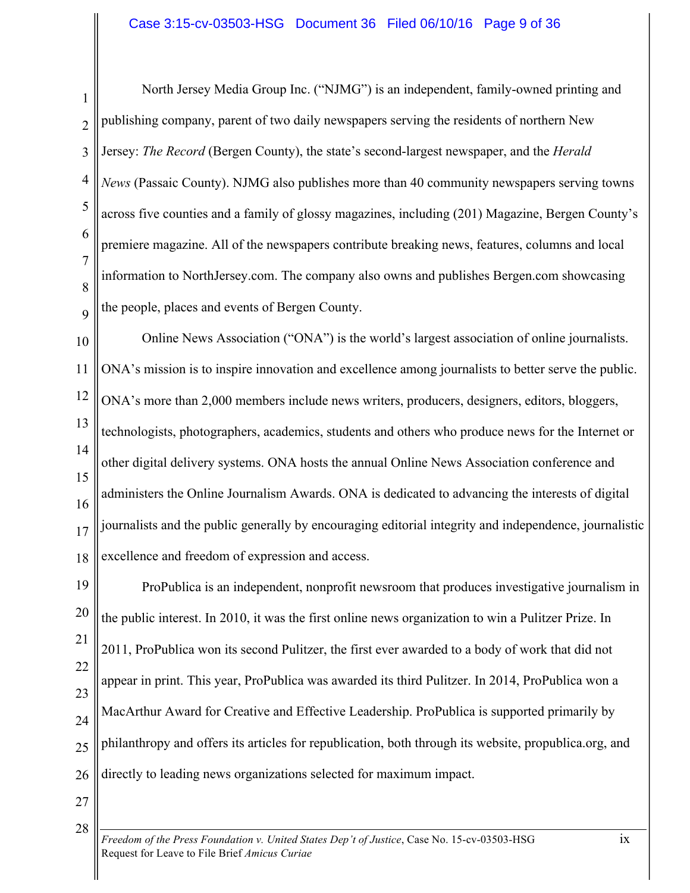1 2 3 4 5 6 7 8  $\overline{Q}$ North Jersey Media Group Inc. ("NJMG") is an independent, family-owned printing and publishing company, parent of two daily newspapers serving the residents of northern New Jersey: *The Record* (Bergen County), the state's second-largest newspaper, and the *Herald News* (Passaic County). NJMG also publishes more than 40 community newspapers serving towns across five counties and a family of glossy magazines, including (201) Magazine, Bergen County's premiere magazine. All of the newspapers contribute breaking news, features, columns and local information to NorthJersey.com. The company also owns and publishes Bergen.com showcasing the people, places and events of Bergen County.

10 11 12 13 14 15 16 17 18 Online News Association ("ONA") is the world's largest association of online journalists. ONA's mission is to inspire innovation and excellence among journalists to better serve the public. ONA's more than 2,000 members include news writers, producers, designers, editors, bloggers, technologists, photographers, academics, students and others who produce news for the Internet or other digital delivery systems. ONA hosts the annual Online News Association conference and administers the Online Journalism Awards. ONA is dedicated to advancing the interests of digital journalists and the public generally by encouraging editorial integrity and independence, journalistic excellence and freedom of expression and access.

19 20 21 22 23 24 25 26 ProPublica is an independent, nonprofit newsroom that produces investigative journalism in the public interest. In 2010, it was the first online news organization to win a Pulitzer Prize. In 2011, ProPublica won its second Pulitzer, the first ever awarded to a body of work that did not appear in print. This year, ProPublica was awarded its third Pulitzer. In 2014, ProPublica won a MacArthur Award for Creative and Effective Leadership. ProPublica is supported primarily by philanthropy and offers its articles for republication, both through its website, propublica.org, and directly to leading news organizations selected for maximum impact.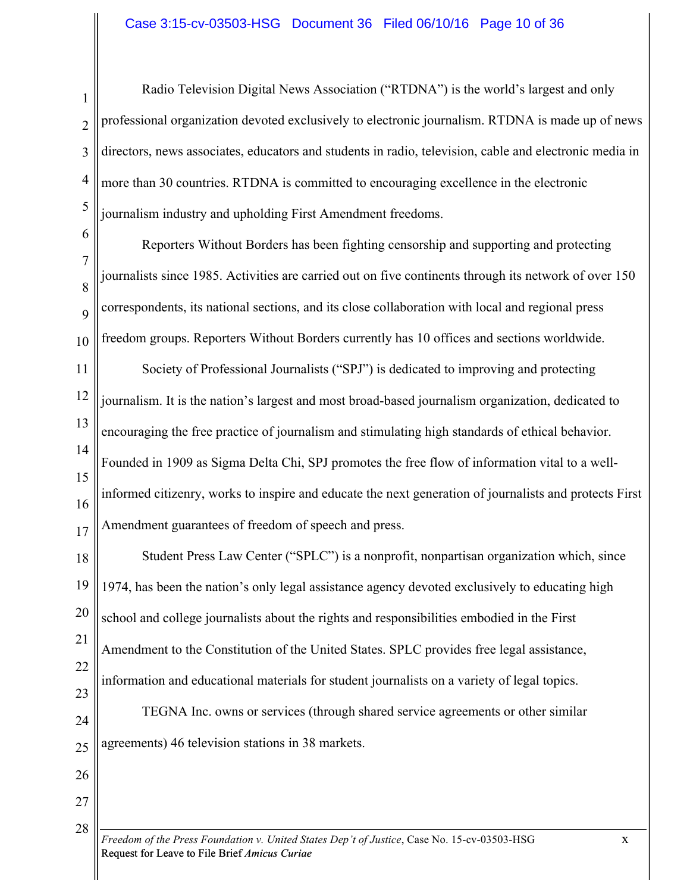1 2 3 4 5 Radio Television Digital News Association ("RTDNA") is the world's largest and only professional organization devoted exclusively to electronic journalism. RTDNA is made up of news directors, news associates, educators and students in radio, television, cable and electronic media in more than 30 countries. RTDNA is committed to encouraging excellence in the electronic journalism industry and upholding First Amendment freedoms.

6 7 8 9 10 Reporters Without Borders has been fighting censorship and supporting and protecting journalists since 1985. Activities are carried out on five continents through its network of over 150 correspondents, its national sections, and its close collaboration with local and regional press freedom groups. Reporters Without Borders currently has 10 offices and sections worldwide.

11 12 13 14 15 16 17 Society of Professional Journalists ("SPJ") is dedicated to improving and protecting journalism. It is the nation's largest and most broad-based journalism organization, dedicated to encouraging the free practice of journalism and stimulating high standards of ethical behavior. Founded in 1909 as Sigma Delta Chi, SPJ promotes the free flow of information vital to a wellinformed citizenry, works to inspire and educate the next generation of journalists and protects First Amendment guarantees of freedom of speech and press.

18 19 20 21 22 23 24 Student Press Law Center ("SPLC") is a nonprofit, nonpartisan organization which, since 1974, has been the nation's only legal assistance agency devoted exclusively to educating high school and college journalists about the rights and responsibilities embodied in the First Amendment to the Constitution of the United States. SPLC provides free legal assistance, information and educational materials for student journalists on a variety of legal topics. TEGNA Inc. owns or services (through shared service agreements or other similar

25 agreements) 46 television stations in 38 markets.

27

28

26

*Freedom of the Press Foundation v. United States Dep't of Justice*, Case No. 15-cv-03503-HSG x Request for Leave to File Brief *Amicus Curiae*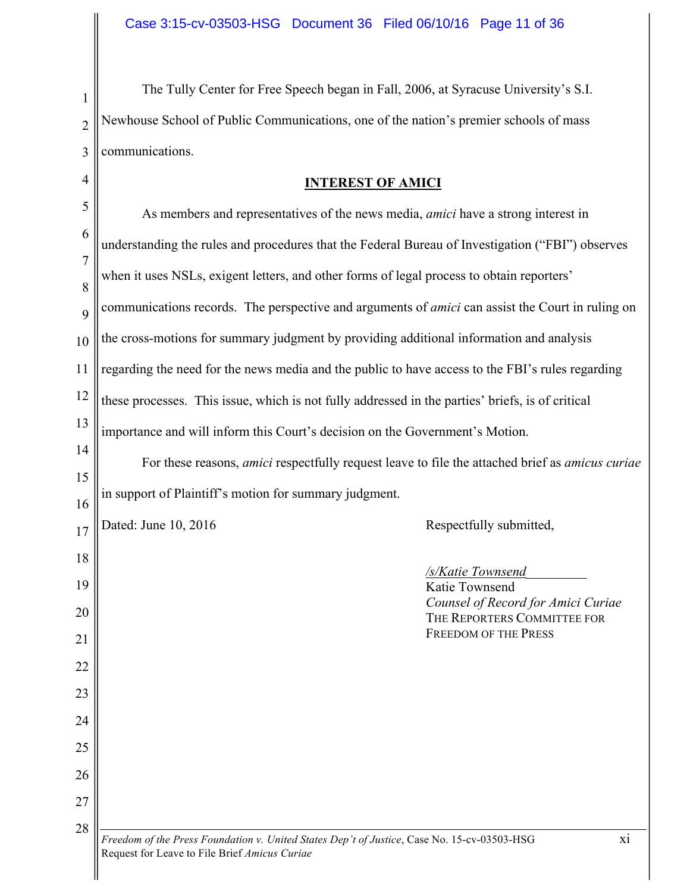1 2 3 The Tully Center for Free Speech began in Fall, 2006, at Syracuse University's S.I. Newhouse School of Public Communications, one of the nation's premier schools of mass communications.

4

 $\parallel$ 

# **INTEREST OF AMICI**

| 5                   | As members and representatives of the news media, <i>amici</i> have a strong interest in                                                           |  |
|---------------------|----------------------------------------------------------------------------------------------------------------------------------------------------|--|
| 6<br>$\overline{7}$ | understanding the rules and procedures that the Federal Bureau of Investigation ("FBI") observes                                                   |  |
| 8                   | when it uses NSLs, exigent letters, and other forms of legal process to obtain reporters'                                                          |  |
| 9                   | communications records. The perspective and arguments of <i>amici</i> can assist the Court in ruling on                                            |  |
| 10                  | the cross-motions for summary judgment by providing additional information and analysis                                                            |  |
| 11                  | regarding the need for the news media and the public to have access to the FBI's rules regarding                                                   |  |
| 12                  | these processes. This issue, which is not fully addressed in the parties' briefs, is of critical                                                   |  |
| 13                  | importance and will inform this Court's decision on the Government's Motion.                                                                       |  |
| 14                  | For these reasons, <i>amici</i> respectfully request leave to file the attached brief as <i>amicus curiae</i>                                      |  |
| 15<br>16            | in support of Plaintiff's motion for summary judgment.                                                                                             |  |
| 17                  | Dated: June 10, 2016<br>Respectfully submitted,                                                                                                    |  |
| 18                  |                                                                                                                                                    |  |
| 19                  | /s/Katie Townsend<br>Katie Townsend                                                                                                                |  |
| 20                  | Counsel of Record for Amici Curiae<br>THE REPORTERS COMMITTEE FOR                                                                                  |  |
| 21                  | <b>FREEDOM OF THE PRESS</b>                                                                                                                        |  |
| 22                  |                                                                                                                                                    |  |
| 23                  |                                                                                                                                                    |  |
| 24                  |                                                                                                                                                    |  |
| 25<br>26            |                                                                                                                                                    |  |
| 27                  |                                                                                                                                                    |  |
| 28                  |                                                                                                                                                    |  |
|                     | Freedom of the Press Foundation v. United States Dep't of Justice, Case No. 15-cv-03503-HSG<br>xi<br>Request for Leave to File Brief Amicus Curiae |  |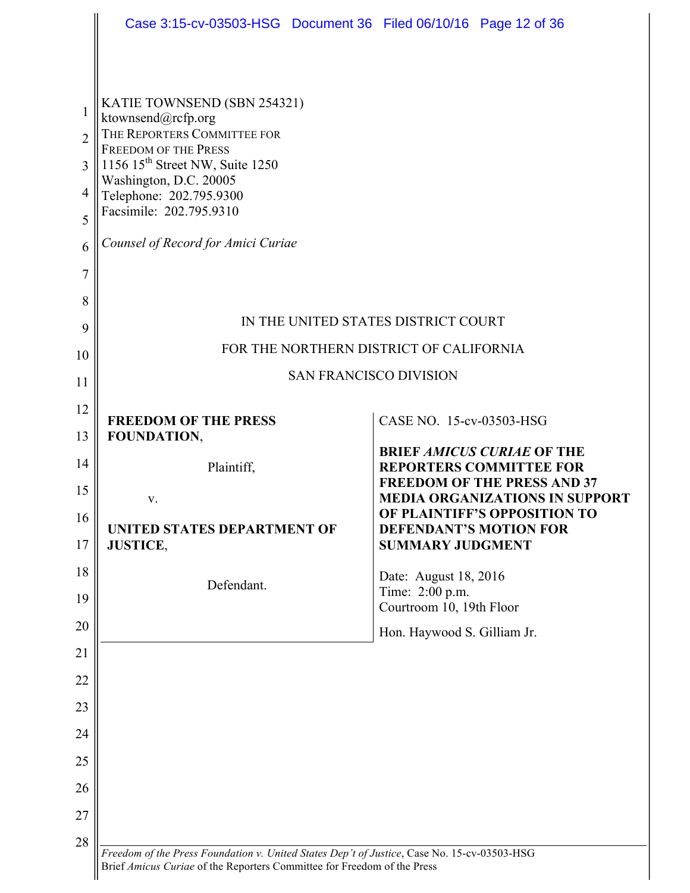|                | Case 3:15-cv-03503-HSG Document 36 Filed 06/10/16 Page 12 of 36                                                                                                                                                                 |                                                                             |
|----------------|---------------------------------------------------------------------------------------------------------------------------------------------------------------------------------------------------------------------------------|-----------------------------------------------------------------------------|
|                |                                                                                                                                                                                                                                 |                                                                             |
| 1              | KATIE TOWNSEND (SBN 254321)<br>ktownsend@rcfp.org                                                                                                                                                                               |                                                                             |
| $\overline{2}$ | THE REPORTERS COMMITTEE FOR<br><b>FREEDOM OF THE PRESS</b><br>1156 15 <sup>th</sup> Street NW, Suite 1250<br>Washington, D.C. 20005<br>Telephone: 202.795.9300<br>Facsimile: 202.795.9310<br>Counsel of Record for Amici Curiae |                                                                             |
| 3              |                                                                                                                                                                                                                                 |                                                                             |
| 4              |                                                                                                                                                                                                                                 |                                                                             |
| 5              |                                                                                                                                                                                                                                 |                                                                             |
| 6              |                                                                                                                                                                                                                                 |                                                                             |
| $\overline{7}$ |                                                                                                                                                                                                                                 |                                                                             |
| 8              |                                                                                                                                                                                                                                 |                                                                             |
| 9              |                                                                                                                                                                                                                                 | IN THE UNITED STATES DISTRICT COURT                                         |
| 10             |                                                                                                                                                                                                                                 | FOR THE NORTHERN DISTRICT OF CALIFORNIA                                     |
| 11             |                                                                                                                                                                                                                                 | <b>SAN FRANCISCO DIVISION</b>                                               |
| 12             | <b>FREEDOM OF THE PRESS</b>                                                                                                                                                                                                     | CASE NO. 15-cv-03503-HSG                                                    |
| 13             | FOUNDATION,                                                                                                                                                                                                                     |                                                                             |
|                |                                                                                                                                                                                                                                 | <b>BRIEF AMICUS CURIAE OF THE</b><br><b>REPORTERS COMMITTEE FOR</b>         |
| 14             | Plaintiff,                                                                                                                                                                                                                      |                                                                             |
| 15             | V.                                                                                                                                                                                                                              | <b>FREEDOM OF THE PRESS AND 37</b><br><b>MEDIA ORGANIZATIONS IN SUPPORT</b> |
| 16             |                                                                                                                                                                                                                                 | OF PLAINTIFF'S OPPOSITION TO                                                |
| 17             | UNITED STATES DEPARTMENT OF<br><b>JUSTICE,</b>                                                                                                                                                                                  | <b>DEFENDANT'S MOTION FOR</b><br><b>SUMMARY JUDGMENT</b>                    |
| 18             |                                                                                                                                                                                                                                 | Date: August 18, 2016                                                       |
| 19             | Defendant.                                                                                                                                                                                                                      | Time: 2:00 p.m.<br>Courtroom 10, 19th Floor                                 |
| 20             |                                                                                                                                                                                                                                 | Hon. Haywood S. Gilliam Jr.                                                 |
| 21             |                                                                                                                                                                                                                                 |                                                                             |
| 22             |                                                                                                                                                                                                                                 |                                                                             |
| 23             |                                                                                                                                                                                                                                 |                                                                             |
| 24             |                                                                                                                                                                                                                                 |                                                                             |
| 25             |                                                                                                                                                                                                                                 |                                                                             |
| 26             |                                                                                                                                                                                                                                 |                                                                             |
| 27             |                                                                                                                                                                                                                                 |                                                                             |
| 28             | Freedom of the Press Foundation v. United States Dep't of Justice, Case No. 15-cv-03503-HSG                                                                                                                                     |                                                                             |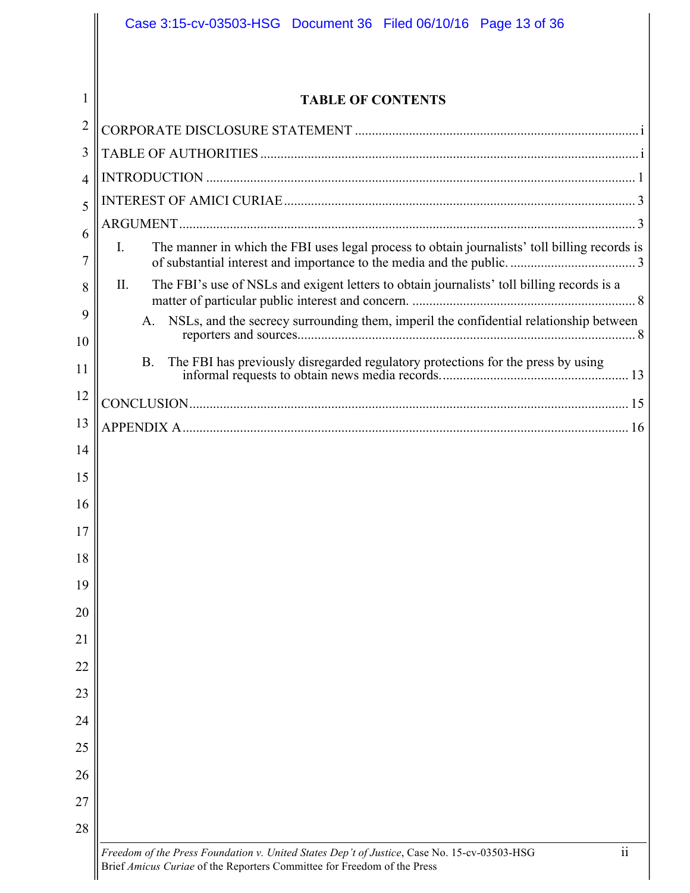|                | Case 3:15-cv-03503-HSG Document 36 Filed 06/10/16 Page 13 of 36                                                                                                                                    |  |  |
|----------------|----------------------------------------------------------------------------------------------------------------------------------------------------------------------------------------------------|--|--|
|                |                                                                                                                                                                                                    |  |  |
| 1              | <b>TABLE OF CONTENTS</b>                                                                                                                                                                           |  |  |
| $\overline{2}$ |                                                                                                                                                                                                    |  |  |
| 3              |                                                                                                                                                                                                    |  |  |
| 4              |                                                                                                                                                                                                    |  |  |
| 5              |                                                                                                                                                                                                    |  |  |
| 6              |                                                                                                                                                                                                    |  |  |
| 7              | The manner in which the FBI uses legal process to obtain journalists' toll billing records is<br>I.                                                                                                |  |  |
| 8              | The FBI's use of NSLs and exigent letters to obtain journalists' toll billing records is a<br>П.                                                                                                   |  |  |
| 9              | NSLs, and the secrecy surrounding them, imperil the confidential relationship between<br>A.                                                                                                        |  |  |
| 10             |                                                                                                                                                                                                    |  |  |
| 11             | The FBI has previously disregarded regulatory protections for the press by using<br><b>B.</b>                                                                                                      |  |  |
| 12             |                                                                                                                                                                                                    |  |  |
| 13             |                                                                                                                                                                                                    |  |  |
| 14             |                                                                                                                                                                                                    |  |  |
| 15             |                                                                                                                                                                                                    |  |  |
| 16             |                                                                                                                                                                                                    |  |  |
| 17             |                                                                                                                                                                                                    |  |  |
| 18             |                                                                                                                                                                                                    |  |  |
| 19             |                                                                                                                                                                                                    |  |  |
| 20             |                                                                                                                                                                                                    |  |  |
| 21             |                                                                                                                                                                                                    |  |  |
| 22             |                                                                                                                                                                                                    |  |  |
| 23             |                                                                                                                                                                                                    |  |  |
| 24             |                                                                                                                                                                                                    |  |  |
| 25             |                                                                                                                                                                                                    |  |  |
| 26             |                                                                                                                                                                                                    |  |  |
| 27             |                                                                                                                                                                                                    |  |  |
| 28             |                                                                                                                                                                                                    |  |  |
|                | $\overline{\textbf{ii}}$<br>Freedom of the Press Foundation v. United States Dep't of Justice, Case No. 15-cv-03503-HSG<br>Brief Amicus Curiae of the Reporters Committee for Freedom of the Press |  |  |

 $\overline{\phantom{a}}$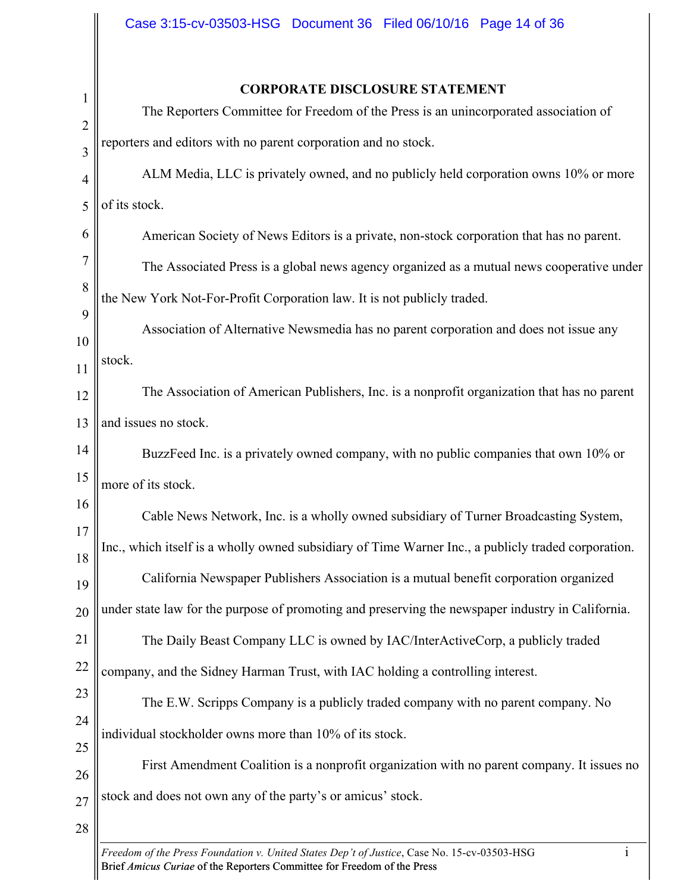Ш

| $\mathbf{1}$   | <b>CORPORATE DISCLOSURE STATEMENT</b>                                                                       |  |  |
|----------------|-------------------------------------------------------------------------------------------------------------|--|--|
| $\overline{2}$ | The Reporters Committee for Freedom of the Press is an unincorporated association of                        |  |  |
| 3              | reporters and editors with no parent corporation and no stock.                                              |  |  |
| $\overline{4}$ | ALM Media, LLC is privately owned, and no publicly held corporation owns 10% or more                        |  |  |
| 5              | of its stock.                                                                                               |  |  |
| 6              | American Society of News Editors is a private, non-stock corporation that has no parent.                    |  |  |
| 7              | The Associated Press is a global news agency organized as a mutual news cooperative under                   |  |  |
| 8              | the New York Not-For-Profit Corporation law. It is not publicly traded.                                     |  |  |
| 9              | Association of Alternative Newsmedia has no parent corporation and does not issue any                       |  |  |
| 10             |                                                                                                             |  |  |
| 11             | stock.                                                                                                      |  |  |
| 12             | The Association of American Publishers, Inc. is a nonprofit organization that has no parent                 |  |  |
| 13             | and issues no stock.                                                                                        |  |  |
| 14             | BuzzFeed Inc. is a privately owned company, with no public companies that own 10% or                        |  |  |
| 15             | more of its stock.                                                                                          |  |  |
| 16             | Cable News Network, Inc. is a wholly owned subsidiary of Turner Broadcasting System,                        |  |  |
| 17<br>18       | Inc., which itself is a wholly owned subsidiary of Time Warner Inc., a publicly traded corporation.         |  |  |
| 19             | California Newspaper Publishers Association is a mutual benefit corporation organized                       |  |  |
| 20             | under state law for the purpose of promoting and preserving the newspaper industry in California.           |  |  |
| 21             | The Daily Beast Company LLC is owned by IAC/InterActiveCorp, a publicly traded                              |  |  |
| 22             | company, and the Sidney Harman Trust, with IAC holding a controlling interest.                              |  |  |
| 23             | The E.W. Scripps Company is a publicly traded company with no parent company. No                            |  |  |
| 24             |                                                                                                             |  |  |
| 25             | individual stockholder owns more than 10% of its stock.                                                     |  |  |
| 26             | First Amendment Coalition is a nonprofit organization with no parent company. It issues no                  |  |  |
| 27             | stock and does not own any of the party's or amicus' stock.                                                 |  |  |
| 28             |                                                                                                             |  |  |
|                | Freedom of the Press Foundation v. United States Dep't of Justice, Case No. 15-cv-03503-HSG<br>$\mathbf{1}$ |  |  |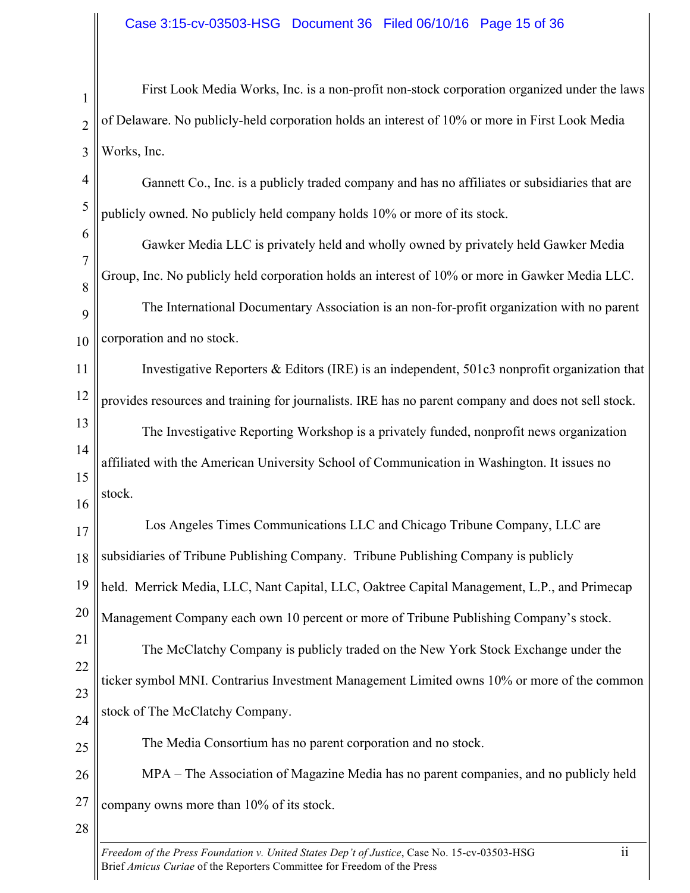1 2 3 First Look Media Works, Inc. is a non-profit non-stock corporation organized under the laws of Delaware. No publicly-held corporation holds an interest of 10% or more in First Look Media Works, Inc.

4 5 Gannett Co., Inc. is a publicly traded company and has no affiliates or subsidiaries that are publicly owned. No publicly held company holds 10% or more of its stock.

6 7 8 9 10 Gawker Media LLC is privately held and wholly owned by privately held Gawker Media Group, Inc. No publicly held corporation holds an interest of 10% or more in Gawker Media LLC. The International Documentary Association is an non-for-profit organization with no parent corporation and no stock.

11 12 13 14 15 Investigative Reporters & Editors (IRE) is an independent, 501c3 nonprofit organization that provides resources and training for journalists. IRE has no parent company and does not sell stock. The Investigative Reporting Workshop is a privately funded, nonprofit news organization affiliated with the American University School of Communication in Washington. It issues no stock.

17 18 19 20 21 Los Angeles Times Communications LLC and Chicago Tribune Company, LLC are subsidiaries of Tribune Publishing Company. Tribune Publishing Company is publicly held. Merrick Media, LLC, Nant Capital, LLC, Oaktree Capital Management, L.P., and Primecap Management Company each own 10 percent or more of Tribune Publishing Company's stock.

22 23 24 The McClatchy Company is publicly traded on the New York Stock Exchange under the ticker symbol MNI. Contrarius Investment Management Limited owns 10% or more of the common stock of The McClatchy Company.

25

16

The Media Consortium has no parent corporation and no stock.

26 27 MPA – The Association of Magazine Media has no parent companies, and no publicly held company owns more than 10% of its stock.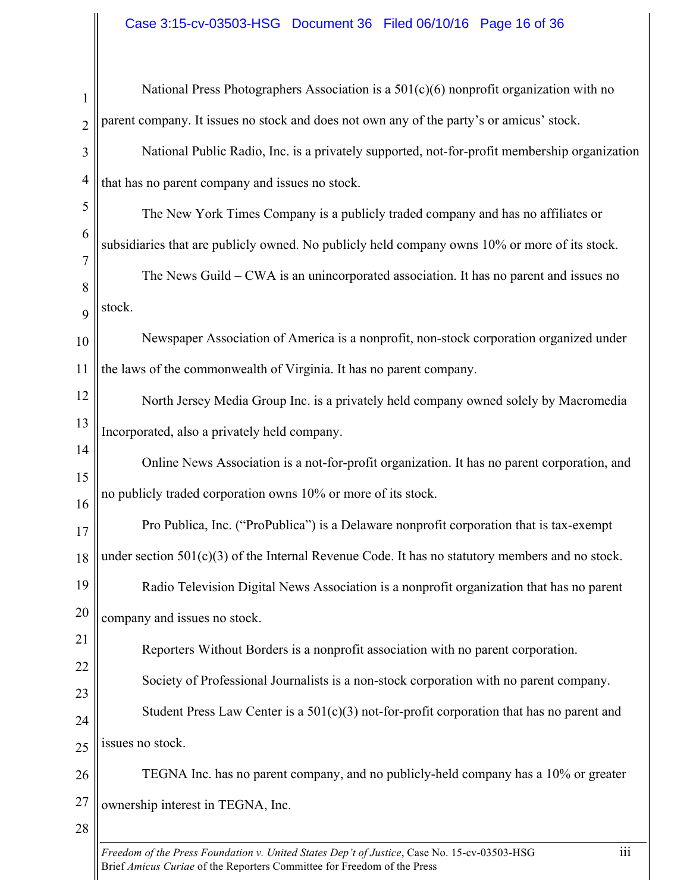# Case 3:15-cv-03503-HSG Document 36 Filed 06/10/16 Page 16 of 36

| $\mathbf{1}$   | National Press Photographers Association is a $501(c)(6)$ nonprofit organization with no        |
|----------------|-------------------------------------------------------------------------------------------------|
| $\overline{2}$ | parent company. It issues no stock and does not own any of the party's or amicus' stock.        |
| 3              | National Public Radio, Inc. is a privately supported, not-for-profit membership organization    |
| $\overline{4}$ | that has no parent company and issues no stock.                                                 |
| 5              | The New York Times Company is a publicly traded company and has no affiliates or                |
| 6              | subsidiaries that are publicly owned. No publicly held company owns 10% or more of its stock.   |
| $\overline{7}$ | The News Guild – CWA is an unincorporated association. It has no parent and issues no           |
| 8<br>9         | stock.                                                                                          |
| 10             | Newspaper Association of America is a nonprofit, non-stock corporation organized under          |
| 11             | the laws of the commonwealth of Virginia. It has no parent company.                             |
| 12             | North Jersey Media Group Inc. is a privately held company owned solely by Macromedia            |
| 13             | Incorporated, also a privately held company.                                                    |
| 14             | Online News Association is a not-for-profit organization. It has no parent corporation, and     |
| 15<br>16       | no publicly traded corporation owns 10% or more of its stock.                                   |
| 17             | Pro Publica, Inc. ("ProPublica") is a Delaware nonprofit corporation that is tax-exempt         |
| 18             | under section 501(c)(3) of the Internal Revenue Code. It has no statutory members and no stock. |
| 19             | Radio Television Digital News Association is a nonprofit organization that has no parent        |
| 20             | company and issues no stock.                                                                    |
| 21             | Reporters Without Borders is a nonprofit association with no parent corporation.                |
| 22             | Society of Professional Journalists is a non-stock corporation with no parent company.          |
| 23             | Student Press Law Center is a $501(c)(3)$ not-for-profit corporation that has no parent and     |
| 24<br>25       | issues no stock.                                                                                |
| 26             | TEGNA Inc. has no parent company, and no publicly-held company has a 10% or greater             |
| 27             | ownership interest in TEGNA, Inc.                                                               |
| 28             |                                                                                                 |
|                |                                                                                                 |

*Freedom of the Press Foundation v. United States Dep't of Justice*, Case No. 15-cv-03503-HSG iii Brief *Amicus Curiae* of the Reporters Committee for Freedom of the Press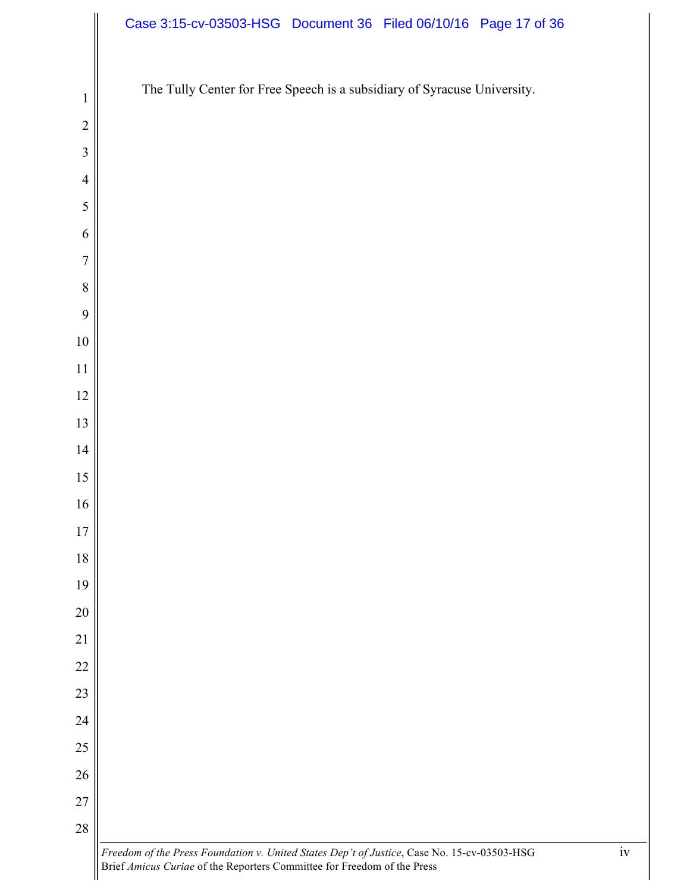|                | Case 3:15-cv-03503-HSG Document 36 Filed 06/10/16 Page 17 of 36                                   |
|----------------|---------------------------------------------------------------------------------------------------|
|                | The Tully Center for Free Speech is a subsidiary of Syracuse University.                          |
| $\mathbf{1}$   |                                                                                                   |
| $\overline{2}$ |                                                                                                   |
| 3              |                                                                                                   |
| $\overline{4}$ |                                                                                                   |
| $\sqrt{5}$     |                                                                                                   |
| 6              |                                                                                                   |
| $\overline{7}$ |                                                                                                   |
| $\, 8$         |                                                                                                   |
| 9              |                                                                                                   |
| $10\,$         |                                                                                                   |
| 11             |                                                                                                   |
| $12$           |                                                                                                   |
| 13             |                                                                                                   |
| 14             |                                                                                                   |
| $15\,$         |                                                                                                   |
| 16             |                                                                                                   |
| $17$           |                                                                                                   |
| $18\,$         |                                                                                                   |
| 19             |                                                                                                   |
| $20\,$         |                                                                                                   |
| 21             |                                                                                                   |
| 22             |                                                                                                   |
| 23             |                                                                                                   |
| 24             |                                                                                                   |
| $25\,$         |                                                                                                   |
| $26\,$         |                                                                                                   |
| $27\,$         |                                                                                                   |
| $28\,$         |                                                                                                   |
|                | iv<br>Freedom of the Press Foundation v. United States Dep't of Justice, Case No. 15-cv-03503-HSG |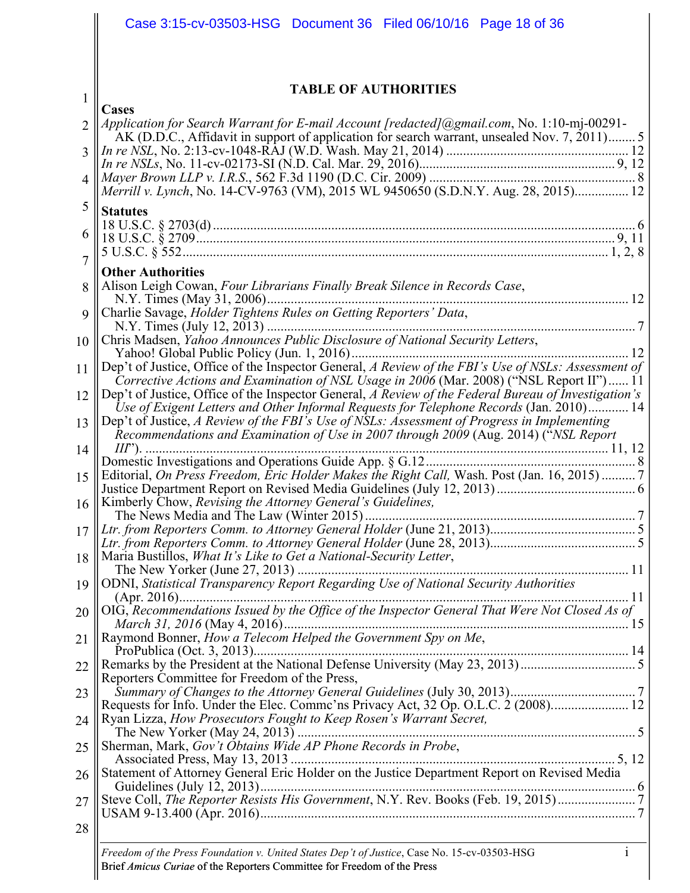|                | Case 3:15-cv-03503-HSG Document 36 Filed 06/10/16 Page 18 of 36                                                                                                                                  |
|----------------|--------------------------------------------------------------------------------------------------------------------------------------------------------------------------------------------------|
|                |                                                                                                                                                                                                  |
| $\mathbf{1}$   | <b>TABLE OF AUTHORITIES</b>                                                                                                                                                                      |
| $\overline{2}$ | <b>Cases</b><br>Application for Search Warrant for E-mail Account [redacted] (@gmail.com, No. 1:10-mj-00291-                                                                                     |
| 3              | AK (D.D.C., Affidavit in support of application for search warrant, unsealed Nov. 7, 2011)5                                                                                                      |
|                |                                                                                                                                                                                                  |
| $\overline{4}$ | Merrill v. Lynch, No. 14-CV-9763 (VM), 2015 WL 9450650 (S.D.N.Y. Aug. 28, 2015) 12                                                                                                               |
| 5              | <b>Statutes</b>                                                                                                                                                                                  |
| 6              |                                                                                                                                                                                                  |
|                |                                                                                                                                                                                                  |
| $\overline{7}$ | <b>Other Authorities</b>                                                                                                                                                                         |
| 8              | Alison Leigh Cowan, Four Librarians Finally Break Silence in Records Case,                                                                                                                       |
| 9              |                                                                                                                                                                                                  |
| 10             | Chris Madsen, Yahoo Announces Public Disclosure of National Security Letters,                                                                                                                    |
| 11             | Dep't of Justice, Office of the Inspector General, A Review of the FBI's Use of NSLs: Assessment of                                                                                              |
| 12             | Corrective Actions and Examination of NSL Usage in 2006 (Mar. 2008) ("NSL Report II") 11<br>Dep't of Justice, Office of the Inspector General, A Review of the Federal Bureau of Investigation's |
|                | Use of Exigent Letters and Other Informal Requests for Telephone Records (Jan. 2010) 14                                                                                                          |
| 13             | Dep't of Justice, A Review of the FBI's Use of NSLs: Assessment of Progress in Implementing<br>Recommendations and Examination of Use in 2007 through 2009 (Aug. 2014) ("NSL Report              |
| 14             | $III$ ").                                                                                                                                                                                        |
| 15             | Editorial, On Press Freedom, Eric Holder Makes the Right Call, Wash. Post (Jan. 16, 2015)  7                                                                                                     |
| 16             | Kimberly Chow, Revising the Attorney General's Guidelines,                                                                                                                                       |
| 17             |                                                                                                                                                                                                  |
| 18             | Maria Bustillos, What It's Like to Get a National-Security Letter,                                                                                                                               |
|                |                                                                                                                                                                                                  |
| 19             | ODNI, Statistical Transparency Report Regarding Use of National Security Authorities                                                                                                             |
| 20             | OIG, Recommendations Issued by the Office of the Inspector General That Were Not Closed As of                                                                                                    |
| 21             | Raymond Bonner, How a Telecom Helped the Government Spy on Me,                                                                                                                                   |
| 22             |                                                                                                                                                                                                  |
|                | Reporters Committee for Freedom of the Press,                                                                                                                                                    |
| 23             |                                                                                                                                                                                                  |
| 24             | Ryan Lizza, How Prosecutors Fought to Keep Rosen's Warrant Secret,<br>The New Yorker $(May 24, 2013)$ The New Yorker $(May 24, 2013)$                                                            |
| 25             | Sherman, Mark, Gov't Obtains Wide AP Phone Records in Probe,                                                                                                                                     |
| 26             | Statement of Attorney General Eric Holder on the Justice Department Report on Revised Media                                                                                                      |
| 27             | Steve Coll, The Reporter Resists His Government, N.Y. Rev. Books (Feb. 19, 2015)                                                                                                                 |
| 28             |                                                                                                                                                                                                  |
|                |                                                                                                                                                                                                  |

*Freedom of the Press Foundation v. United States Dep't of Justice*, Case No. 15-cv-03503-HSG i Brief *Amicus Curiae* of the Reporters Committee for Freedom of the Press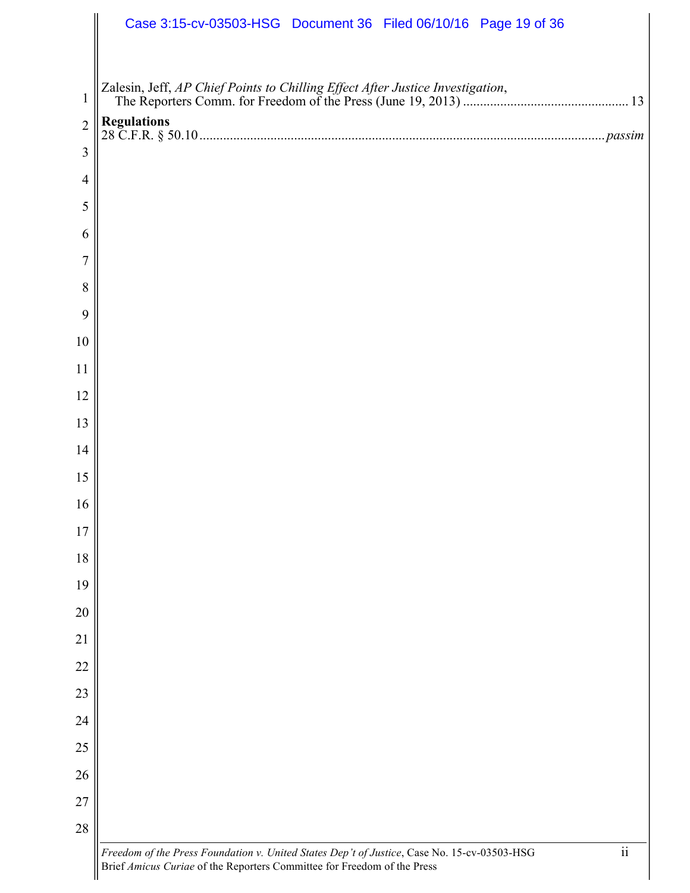|                | Case 3:15-cv-03503-HSG Document 36 Filed 06/10/16 Page 19 of 36                                                         |
|----------------|-------------------------------------------------------------------------------------------------------------------------|
|                |                                                                                                                         |
| $\mathbf{1}$   |                                                                                                                         |
| $\overline{2}$ |                                                                                                                         |
| 3              |                                                                                                                         |
| $\overline{4}$ |                                                                                                                         |
| 5              |                                                                                                                         |
| 6              |                                                                                                                         |
| $\overline{7}$ |                                                                                                                         |
| 8              |                                                                                                                         |
| 9              |                                                                                                                         |
| 10             |                                                                                                                         |
| 11             |                                                                                                                         |
| 12             |                                                                                                                         |
| 13             |                                                                                                                         |
| 14             |                                                                                                                         |
| 15             |                                                                                                                         |
| 16             |                                                                                                                         |
| 17             |                                                                                                                         |
| 18             |                                                                                                                         |
| 19             |                                                                                                                         |
| $20\,$         |                                                                                                                         |
| 21             |                                                                                                                         |
| 22             |                                                                                                                         |
| 23             |                                                                                                                         |
| 24             |                                                                                                                         |
| 25             |                                                                                                                         |
| 26             |                                                                                                                         |
| 27             |                                                                                                                         |
| 28             |                                                                                                                         |
|                | $\overline{\textbf{ii}}$<br>Freedom of the Press Foundation v. United States Dep't of Justice, Case No. 15-cv-03503-HSG |

Brief *Amicus Curiae* of the Reporters Committee for Freedom of the Press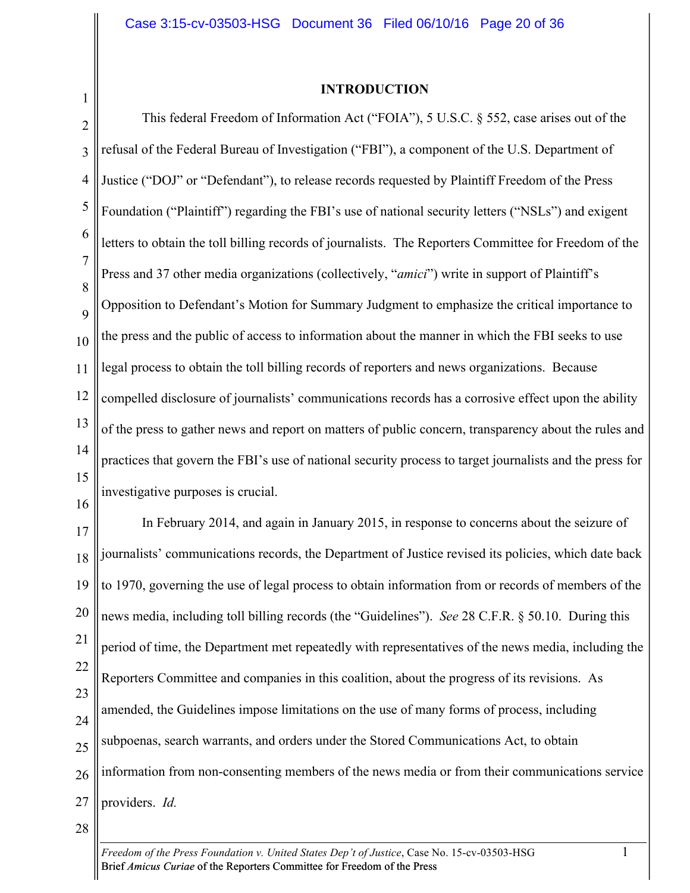1

#### **INTRODUCTION**

2 3 4 5 6 7 8  $\overline{Q}$ 10 11 12 13 14 15 This federal Freedom of Information Act ("FOIA"), 5 U.S.C. § 552, case arises out of the refusal of the Federal Bureau of Investigation ("FBI"), a component of the U.S. Department of Justice ("DOJ" or "Defendant"), to release records requested by Plaintiff Freedom of the Press Foundation ("Plaintiff") regarding the FBI's use of national security letters ("NSLs") and exigent letters to obtain the toll billing records of journalists. The Reporters Committee for Freedom of the Press and 37 other media organizations (collectively, "*amici*") write in support of Plaintiff's Opposition to Defendant's Motion for Summary Judgment to emphasize the critical importance to the press and the public of access to information about the manner in which the FBI seeks to use legal process to obtain the toll billing records of reporters and news organizations. Because compelled disclosure of journalists' communications records has a corrosive effect upon the ability of the press to gather news and report on matters of public concern, transparency about the rules and practices that govern the FBI's use of national security process to target journalists and the press for investigative purposes is crucial.

16

17 18 19 20 21 22 23 24 25 26 27 In February 2014, and again in January 2015, in response to concerns about the seizure of journalists' communications records, the Department of Justice revised its policies, which date back to 1970, governing the use of legal process to obtain information from or records of members of the news media, including toll billing records (the "Guidelines"). *See* 28 C.F.R. § 50.10. During this period of time, the Department met repeatedly with representatives of the news media, including the Reporters Committee and companies in this coalition, about the progress of its revisions. As amended, the Guidelines impose limitations on the use of many forms of process, including subpoenas, search warrants, and orders under the Stored Communications Act, to obtain information from non-consenting members of the news media or from their communications service providers. *Id.*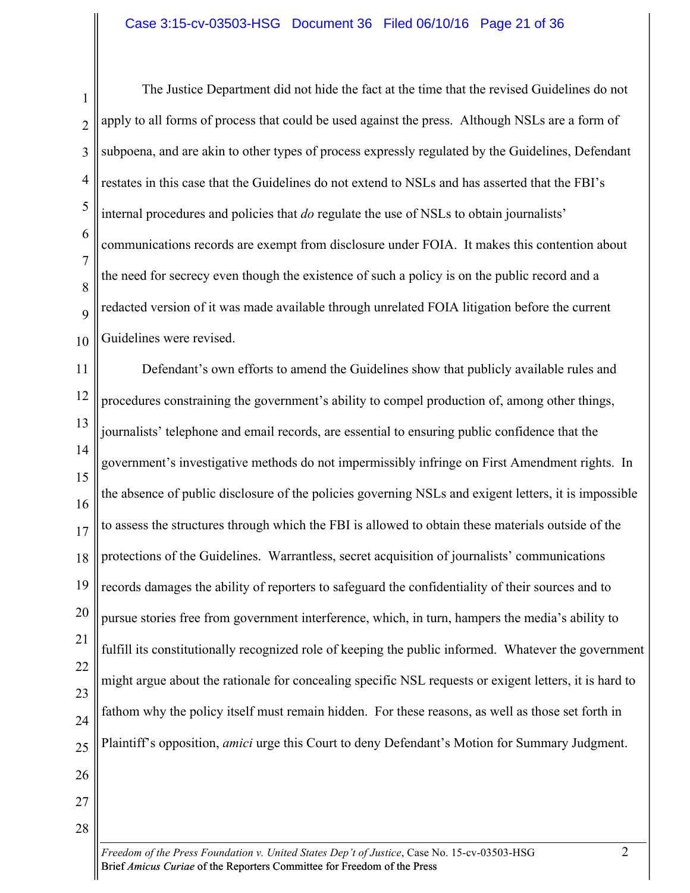1 2 3 4 5 6 7 8 9 10 The Justice Department did not hide the fact at the time that the revised Guidelines do not apply to all forms of process that could be used against the press. Although NSLs are a form of subpoena, and are akin to other types of process expressly regulated by the Guidelines, Defendant restates in this case that the Guidelines do not extend to NSLs and has asserted that the FBI's internal procedures and policies that *do* regulate the use of NSLs to obtain journalists' communications records are exempt from disclosure under FOIA. It makes this contention about the need for secrecy even though the existence of such a policy is on the public record and a redacted version of it was made available through unrelated FOIA litigation before the current Guidelines were revised.

11 12 13 14 15 16 17 18 19 20 21 22 23 24 25 26 Defendant's own efforts to amend the Guidelines show that publicly available rules and procedures constraining the government's ability to compel production of, among other things, journalists' telephone and email records, are essential to ensuring public confidence that the government's investigative methods do not impermissibly infringe on First Amendment rights. In the absence of public disclosure of the policies governing NSLs and exigent letters, it is impossible to assess the structures through which the FBI is allowed to obtain these materials outside of the protections of the Guidelines. Warrantless, secret acquisition of journalists' communications records damages the ability of reporters to safeguard the confidentiality of their sources and to pursue stories free from government interference, which, in turn, hampers the media's ability to fulfill its constitutionally recognized role of keeping the public informed. Whatever the government might argue about the rationale for concealing specific NSL requests or exigent letters, it is hard to fathom why the policy itself must remain hidden. For these reasons, as well as those set forth in Plaintiff's opposition, *amici* urge this Court to deny Defendant's Motion for Summary Judgment.

*Freedom of the Press Foundation v. United States Dep't of Justice*, Case No. 15-cv-03503-HSG 2 Brief *Amicus Curiae* of the Reporters Committee for Freedom of the Press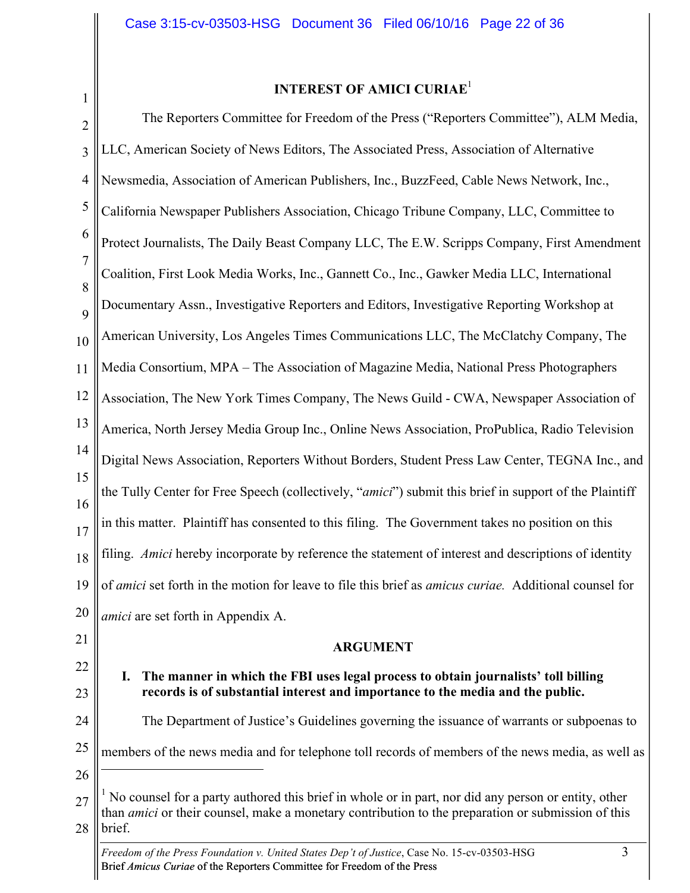1

# **INTEREST OF AMICI CURIAE**<sup>1</sup>

2 3 4 5 6 7 8  $\mathbf Q$ 10 11 12 13 14 15 16 17 18 19 20 21 22 23 The Reporters Committee for Freedom of the Press ("Reporters Committee"), ALM Media, LLC, American Society of News Editors, The Associated Press, Association of Alternative Newsmedia, Association of American Publishers, Inc., BuzzFeed, Cable News Network, Inc., California Newspaper Publishers Association, Chicago Tribune Company, LLC, Committee to Protect Journalists, The Daily Beast Company LLC, The E.W. Scripps Company, First Amendment Coalition, First Look Media Works, Inc., Gannett Co., Inc., Gawker Media LLC, International Documentary Assn., Investigative Reporters and Editors, Investigative Reporting Workshop at American University, Los Angeles Times Communications LLC, The McClatchy Company, The Media Consortium, MPA – The Association of Magazine Media, National Press Photographers Association, The New York Times Company, The News Guild - CWA, Newspaper Association of America, North Jersey Media Group Inc., Online News Association, ProPublica, Radio Television Digital News Association, Reporters Without Borders, Student Press Law Center, TEGNA Inc., and the Tully Center for Free Speech (collectively, "*amici*") submit this brief in support of the Plaintiff in this matter. Plaintiff has consented to this filing. The Government takes no position on this filing. *Amici* hereby incorporate by reference the statement of interest and descriptions of identity of *amici* set forth in the motion for leave to file this brief as *amicus curiae.* Additional counsel for *amici* are set forth in Appendix A. **ARGUMENT I. The manner in which the FBI uses legal process to obtain journalists' toll billing records is of substantial interest and importance to the media and the public.**

24 25 The Department of Justice's Guidelines governing the issuance of warrants or subpoenas to members of the news media and for telephone toll records of members of the news media, as well as

26

 $\overline{a}$ 

<sup>27</sup> 28 <sup>1</sup> No counsel for a party authored this brief in whole or in part, nor did any person or entity, other than *amici* or their counsel, make a monetary contribution to the preparation or submission of this brief.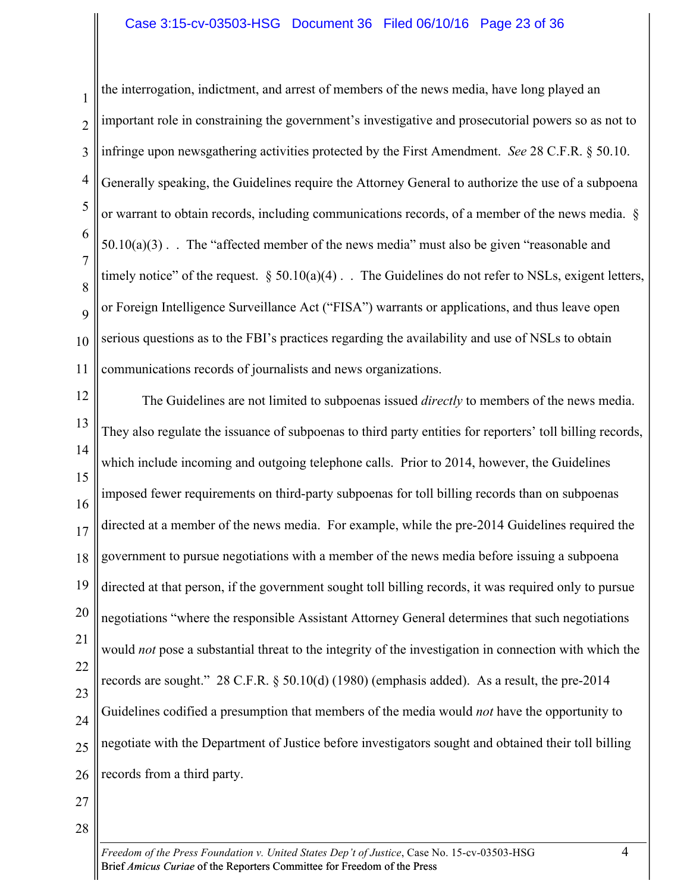#### Case 3:15-cv-03503-HSG Document 36 Filed 06/10/16 Page 23 of 36

1 2 3 4 5 6 7 8 9 10 11 the interrogation, indictment, and arrest of members of the news media, have long played an important role in constraining the government's investigative and prosecutorial powers so as not to infringe upon newsgathering activities protected by the First Amendment. *See* 28 C.F.R. § 50.10. Generally speaking, the Guidelines require the Attorney General to authorize the use of a subpoena or warrant to obtain records, including communications records, of a member of the news media. §  $50.10(a)(3)$ . The "affected member of the news media" must also be given "reasonable and timely notice" of the request.  $\S 50.10(a)(4)$ . The Guidelines do not refer to NSLs, exigent letters, or Foreign Intelligence Surveillance Act ("FISA") warrants or applications, and thus leave open serious questions as to the FBI's practices regarding the availability and use of NSLs to obtain communications records of journalists and news organizations.

12 13 14 15 16 17 18 19 20 21 22 23 24 25 26 The Guidelines are not limited to subpoenas issued *directly* to members of the news media. They also regulate the issuance of subpoenas to third party entities for reporters' toll billing records, which include incoming and outgoing telephone calls. Prior to 2014, however, the Guidelines imposed fewer requirements on third-party subpoenas for toll billing records than on subpoenas directed at a member of the news media. For example, while the pre-2014 Guidelines required the government to pursue negotiations with a member of the news media before issuing a subpoena directed at that person, if the government sought toll billing records, it was required only to pursue negotiations "where the responsible Assistant Attorney General determines that such negotiations would *not* pose a substantial threat to the integrity of the investigation in connection with which the records are sought." 28 C.F.R. § 50.10(d) (1980) (emphasis added). As a result, the pre-2014 Guidelines codified a presumption that members of the media would *not* have the opportunity to negotiate with the Department of Justice before investigators sought and obtained their toll billing records from a third party.

- 27
- 28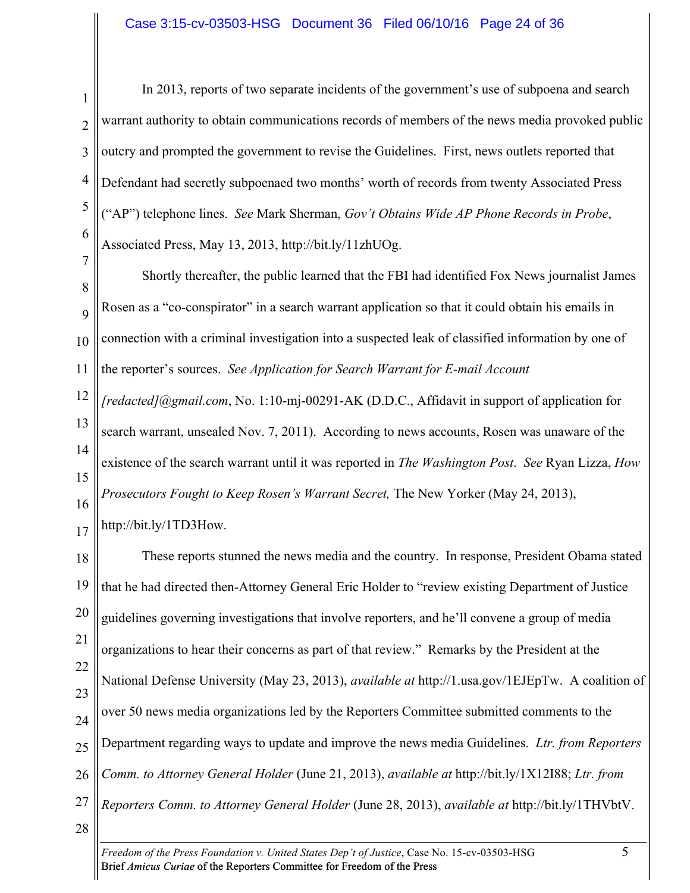2

1 3 4 5 6 7 In 2013, reports of two separate incidents of the government's use of subpoena and search warrant authority to obtain communications records of members of the news media provoked public outcry and prompted the government to revise the Guidelines. First, news outlets reported that Defendant had secretly subpoenaed two months' worth of records from twenty Associated Press ("AP") telephone lines. *See* Mark Sherman, *Gov't Obtains Wide AP Phone Records in Probe*, Associated Press, May 13, 2013, http://bit.ly/11zhUOg.

8  $\overline{Q}$ 10 11 Shortly thereafter, the public learned that the FBI had identified Fox News journalist James Rosen as a "co-conspirator" in a search warrant application so that it could obtain his emails in connection with a criminal investigation into a suspected leak of classified information by one of the reporter's sources. *See Application for Search Warrant for E-mail Account* 

12 13 14 15 16 17 *[redacted]@gmail.com*, No. 1:10-mj-00291-AK (D.D.C., Affidavit in support of application for search warrant, unsealed Nov. 7, 2011). According to news accounts, Rosen was unaware of the existence of the search warrant until it was reported in *The Washington Post*. *See* Ryan Lizza, *How Prosecutors Fought to Keep Rosen's Warrant Secret, The New Yorker (May 24, 2013),* http://bit.ly/1TD3How.

18 19 20 21 22 23 24 25 26 27 28 These reports stunned the news media and the country. In response, President Obama stated that he had directed then-Attorney General Eric Holder to "review existing Department of Justice guidelines governing investigations that involve reporters, and he'll convene a group of media organizations to hear their concerns as part of that review." Remarks by the President at the National Defense University (May 23, 2013), *available at* http://1.usa.gov/1EJEpTw. A coalition of over 50 news media organizations led by the Reporters Committee submitted comments to the Department regarding ways to update and improve the news media Guidelines. *Ltr. from Reporters Comm. to Attorney General Holder* (June 21, 2013), *available at* http://bit.ly/1X12I88; *Ltr. from Reporters Comm. to Attorney General Holder* (June 28, 2013), *available at* http://bit.ly/1THVbtV.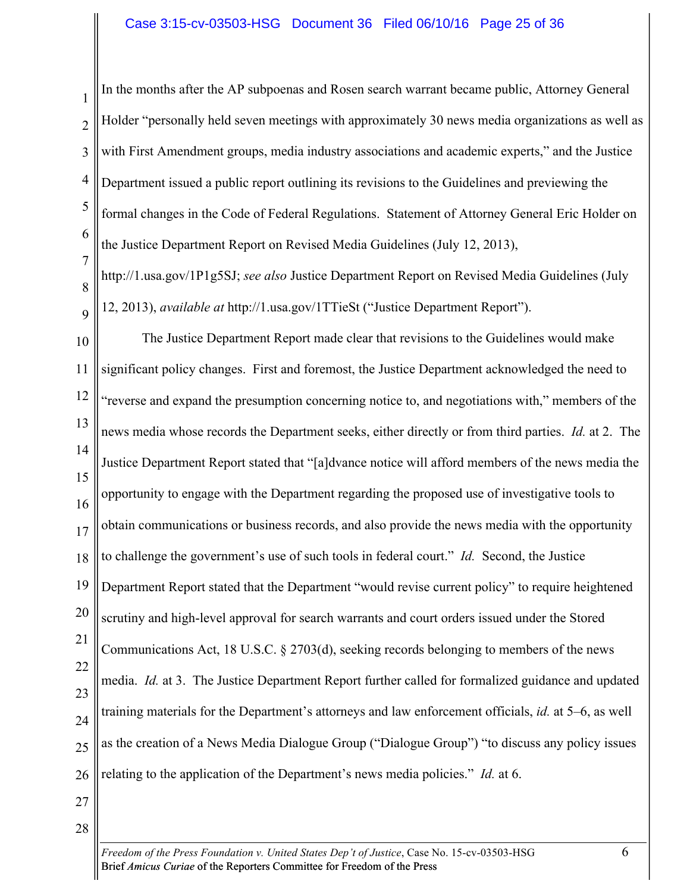1

5 6 7 In the months after the AP subpoenas and Rosen search warrant became public, Attorney General Holder "personally held seven meetings with approximately 30 news media organizations as well as with First Amendment groups, media industry associations and academic experts," and the Justice Department issued a public report outlining its revisions to the Guidelines and previewing the formal changes in the Code of Federal Regulations. Statement of Attorney General Eric Holder on the Justice Department Report on Revised Media Guidelines (July 12, 2013),

8  $\overline{Q}$ http://1.usa.gov/1P1g5SJ; *see also* Justice Department Report on Revised Media Guidelines (July 12, 2013), *available at* http://1.usa.gov/1TTieSt ("Justice Department Report").

10 11 12 13 14 15 16 17 18 19 20 21 22 23 24 25 26 The Justice Department Report made clear that revisions to the Guidelines would make significant policy changes. First and foremost, the Justice Department acknowledged the need to "reverse and expand the presumption concerning notice to, and negotiations with," members of the news media whose records the Department seeks, either directly or from third parties. *Id.* at 2. The Justice Department Report stated that "[a]dvance notice will afford members of the news media the opportunity to engage with the Department regarding the proposed use of investigative tools to obtain communications or business records, and also provide the news media with the opportunity to challenge the government's use of such tools in federal court." *Id.* Second, the Justice Department Report stated that the Department "would revise current policy" to require heightened scrutiny and high-level approval for search warrants and court orders issued under the Stored Communications Act, 18 U.S.C. § 2703(d), seeking records belonging to members of the news media. *Id.* at 3. The Justice Department Report further called for formalized guidance and updated training materials for the Department's attorneys and law enforcement officials, *id.* at 5–6, as well as the creation of a News Media Dialogue Group ("Dialogue Group") "to discuss any policy issues relating to the application of the Department's news media policies." *Id.* at 6.

- 27
- 28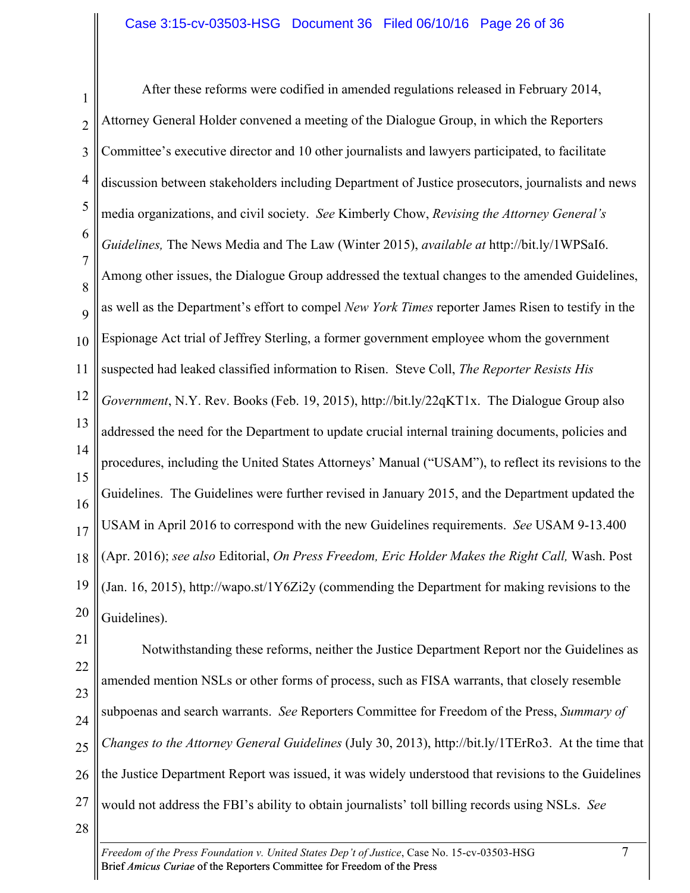1 2 3 4 5 6 7 8 9 10 11 12 13 14 15 16 17 18 19 20 After these reforms were codified in amended regulations released in February 2014, Attorney General Holder convened a meeting of the Dialogue Group, in which the Reporters Committee's executive director and 10 other journalists and lawyers participated, to facilitate discussion between stakeholders including Department of Justice prosecutors, journalists and news media organizations, and civil society. *See* Kimberly Chow, *Revising the Attorney General's Guidelines,* The News Media and The Law (Winter 2015), *available at* http://bit.ly/1WPSaI6. Among other issues, the Dialogue Group addressed the textual changes to the amended Guidelines, as well as the Department's effort to compel *New York Times* reporter James Risen to testify in the Espionage Act trial of Jeffrey Sterling, a former government employee whom the government suspected had leaked classified information to Risen. Steve Coll, *The Reporter Resists His Government*, N.Y. Rev. Books (Feb. 19, 2015), http://bit.ly/22qKT1x.The Dialogue Group also addressed the need for the Department to update crucial internal training documents, policies and procedures, including the United States Attorneys' Manual ("USAM"), to reflect its revisions to the Guidelines. The Guidelines were further revised in January 2015, and the Department updated the USAM in April 2016 to correspond with the new Guidelines requirements. *See* USAM 9-13.400 (Apr. 2016); *see also* Editorial, *On Press Freedom, Eric Holder Makes the Right Call,* Wash. Post (Jan. 16, 2015), http://wapo.st/1Y6Zi2y (commending the Department for making revisions to the Guidelines).

21 22 23 24 25 26 27 28 Notwithstanding these reforms, neither the Justice Department Report nor the Guidelines as amended mention NSLs or other forms of process, such as FISA warrants, that closely resemble subpoenas and search warrants. *See* Reporters Committee for Freedom of the Press, *Summary of Changes to the Attorney General Guidelines* (July 30, 2013), http://bit.ly/1TErRo3. At the time that the Justice Department Report was issued, it was widely understood that revisions to the Guidelines would not address the FBI's ability to obtain journalists' toll billing records using NSLs. *See*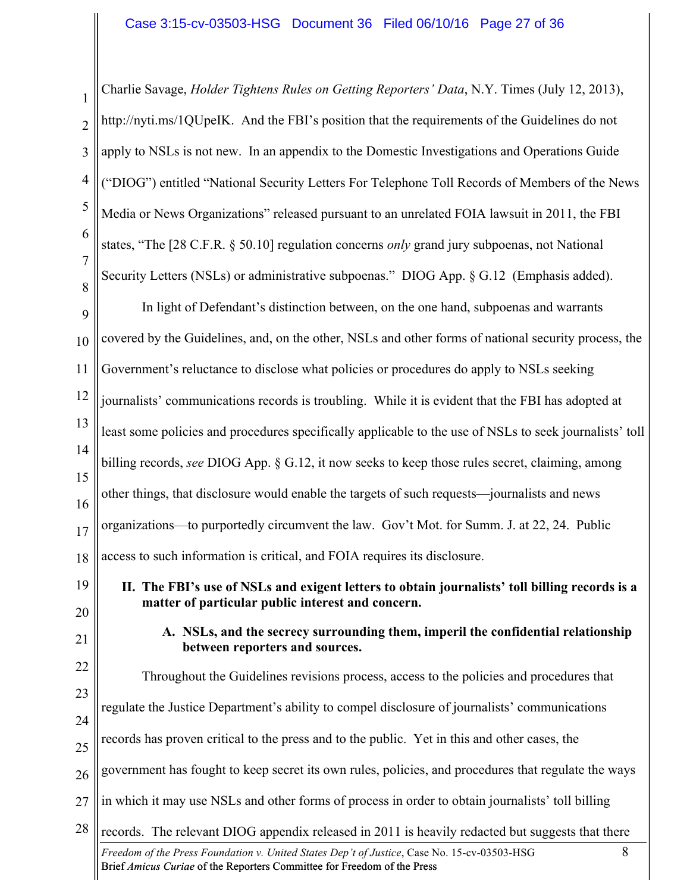1 2 3 4 5 6 7 8 Charlie Savage, *Holder Tightens Rules on Getting Reporters' Data*, N.Y. Times (July 12, 2013), http://nyti.ms/1QUpeIK. And the FBI's position that the requirements of the Guidelines do not apply to NSLs is not new. In an appendix to the Domestic Investigations and Operations Guide ("DIOG") entitled "National Security Letters For Telephone Toll Records of Members of the News Media or News Organizations" released pursuant to an unrelated FOIA lawsuit in 2011, the FBI states, "The [28 C.F.R. § 50.10] regulation concerns *only* grand jury subpoenas, not National Security Letters (NSLs) or administrative subpoenas." DIOG App. § G.12 (Emphasis added).

9 10 11 12 13 14 15 16 17 18 In light of Defendant's distinction between, on the one hand, subpoenas and warrants covered by the Guidelines, and, on the other, NSLs and other forms of national security process, the Government's reluctance to disclose what policies or procedures do apply to NSLs seeking journalists' communications records is troubling. While it is evident that the FBI has adopted at least some policies and procedures specifically applicable to the use of NSLs to seek journalists' toll billing records, *see* DIOG App. § G.12, it now seeks to keep those rules secret, claiming, among other things, that disclosure would enable the targets of such requests—journalists and news organizations—to purportedly circumvent the law. Gov't Mot. for Summ. J. at 22, 24. Public access to such information is critical, and FOIA requires its disclosure.

- 19 20
- **II. The FBI's use of NSLs and exigent letters to obtain journalists' toll billing records is a matter of particular public interest and concern.**
- 21
- **A. NSLs, and the secrecy surrounding them, imperil the confidential relationship between reporters and sources.**

*Freedom of the Press Foundation v. United States Dep't of Justice*, Case No. 15-cv-03503-HSG 8 22 23 24 25 26 27 28 Throughout the Guidelines revisions process, access to the policies and procedures that regulate the Justice Department's ability to compel disclosure of journalists' communications records has proven critical to the press and to the public. Yet in this and other cases, the government has fought to keep secret its own rules, policies, and procedures that regulate the ways in which it may use NSLs and other forms of process in order to obtain journalists' toll billing records. The relevant DIOG appendix released in 2011 is heavily redacted but suggests that there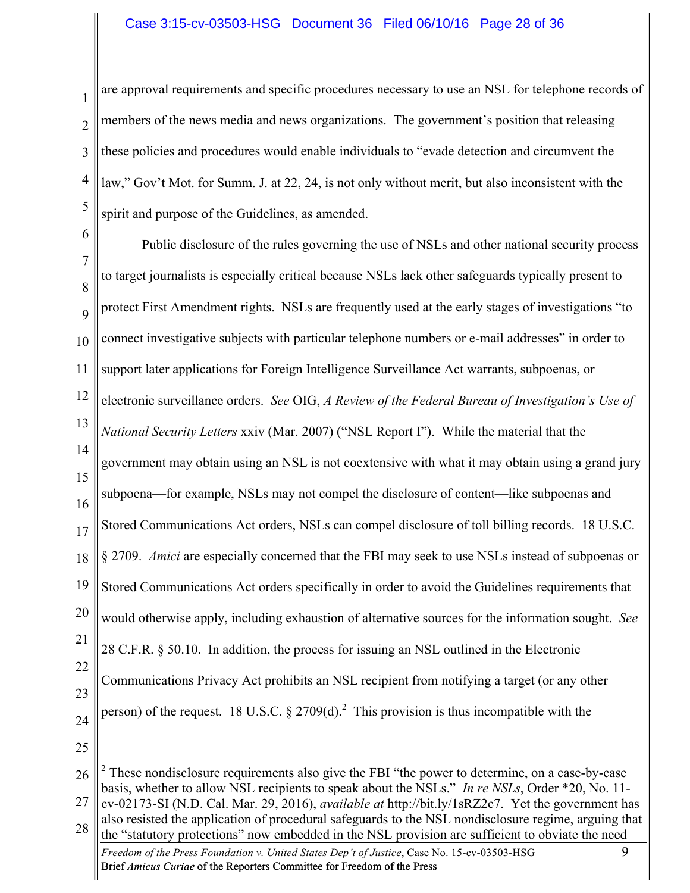#### Case 3:15-cv-03503-HSG Document 36 Filed 06/10/16 Page 28 of 36

2 3 4 5 are approval requirements and specific procedures necessary to use an NSL for telephone records of members of the news media and news organizations. The government's position that releasing these policies and procedures would enable individuals to "evade detection and circumvent the law," Gov't Mot. for Summ. J. at 22, 24, is not only without merit, but also inconsistent with the spirit and purpose of the Guidelines, as amended.

6 7 8 9 10 11 12 13 14 15 16 17 18 19 20 21 22 23 24 Public disclosure of the rules governing the use of NSLs and other national security process to target journalists is especially critical because NSLs lack other safeguards typically present to protect First Amendment rights. NSLs are frequently used at the early stages of investigations "to connect investigative subjects with particular telephone numbers or e-mail addresses" in order to support later applications for Foreign Intelligence Surveillance Act warrants, subpoenas, or electronic surveillance orders. *See* OIG, *A Review of the Federal Bureau of Investigation's Use of National Security Letters* xxiv (Mar. 2007) ("NSL Report I"). While the material that the government may obtain using an NSL is not coextensive with what it may obtain using a grand jury subpoena—for example, NSLs may not compel the disclosure of content—like subpoenas and Stored Communications Act orders, NSLs can compel disclosure of toll billing records. 18 U.S.C. § 2709. *Amici* are especially concerned that the FBI may seek to use NSLs instead of subpoenas or Stored Communications Act orders specifically in order to avoid the Guidelines requirements that would otherwise apply, including exhaustion of alternative sources for the information sought. *See*  28 C.F.R. § 50.10. In addition, the process for issuing an NSL outlined in the Electronic Communications Privacy Act prohibits an NSL recipient from notifying a target (or any other person) of the request. 18 U.S.C.  $\S 2709(d)$ <sup>2</sup> This provision is thus incompatible with the  $\overline{a}$ 

25

1

*Freedom of the Press Foundation v. United States Dep't of Justice*, Case No. 15-cv-03503-HSG 9 Brief *Amicus Curiae* of the Reporters Committee for Freedom of the Press 28 the "statutory protections" now embedded in the NSL provision are sufficient to obviate the need

<sup>26</sup> 27 <sup>2</sup> These nondisclosure requirements also give the FBI "the power to determine, on a case-by-case basis, whether to allow NSL recipients to speak about the NSLs." *In re NSLs*, Order \*20, No. 11-

cv-02173-SI (N.D. Cal. Mar. 29, 2016), *available at* http://bit.ly/1sRZ2c7. Yet the government has also resisted the application of procedural safeguards to the NSL nondisclosure regime, arguing that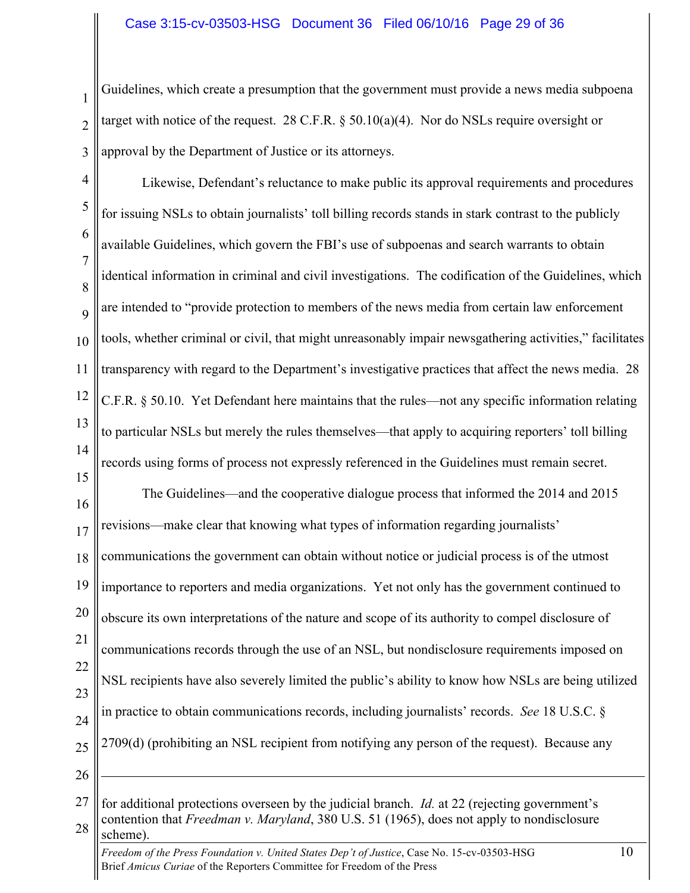1 2 3 Guidelines, which create a presumption that the government must provide a news media subpoena target with notice of the request. 28 C.F.R.  $\S 50.10(a)(4)$ . Nor do NSLs require oversight or approval by the Department of Justice or its attorneys.

4 5 6 7 8  $\overline{Q}$ 10 11 12 13 14 15 16 Likewise, Defendant's reluctance to make public its approval requirements and procedures for issuing NSLs to obtain journalists' toll billing records stands in stark contrast to the publicly available Guidelines, which govern the FBI's use of subpoenas and search warrants to obtain identical information in criminal and civil investigations. The codification of the Guidelines, which are intended to "provide protection to members of the news media from certain law enforcement tools, whether criminal or civil, that might unreasonably impair newsgathering activities," facilitates transparency with regard to the Department's investigative practices that affect the news media. 28 C.F.R. § 50.10. Yet Defendant here maintains that the rules—not any specific information relating to particular NSLs but merely the rules themselves—that apply to acquiring reporters' toll billing records using forms of process not expressly referenced in the Guidelines must remain secret. The Guidelines—and the cooperative dialogue process that informed the 2014 and 2015

17 revisions—make clear that knowing what types of information regarding journalists'

18 19 20 21 22 23 24 25 communications the government can obtain without notice or judicial process is of the utmost importance to reporters and media organizations. Yet not only has the government continued to obscure its own interpretations of the nature and scope of its authority to compel disclosure of communications records through the use of an NSL, but nondisclosure requirements imposed on NSL recipients have also severely limited the public's ability to know how NSLs are being utilized in practice to obtain communications records, including journalists' records. *See* 18 U.S.C. § 2709(d) (prohibiting an NSL recipient from notifying any person of the request). Because any

26

 $\overline{a}$ 

<sup>27</sup> 28 for additional protections overseen by the judicial branch. *Id.* at 22 (rejecting government's contention that *Freedman v. Maryland*, 380 U.S. 51 (1965), does not apply to nondisclosure scheme).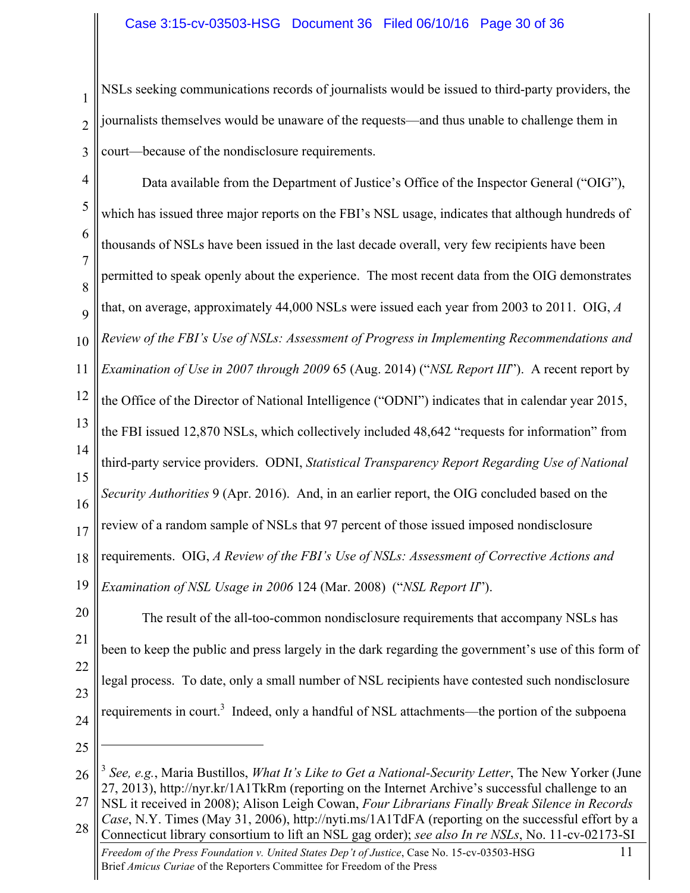1 2 3 NSLs seeking communications records of journalists would be issued to third-party providers, the journalists themselves would be unaware of the requests—and thus unable to challenge them in court—because of the nondisclosure requirements.

4 5 6 7 8  $\overline{Q}$ 10 11 12 13 14 15 16 17 18 19 Data available from the Department of Justice's Office of the Inspector General ("OIG"), which has issued three major reports on the FBI's NSL usage, indicates that although hundreds of thousands of NSLs have been issued in the last decade overall, very few recipients have been permitted to speak openly about the experience. The most recent data from the OIG demonstrates that, on average, approximately 44,000 NSLs were issued each year from 2003 to 2011. OIG, *A Review of the FBI's Use of NSLs: Assessment of Progress in Implementing Recommendations and Examination of Use in 2007 through 2009* 65 (Aug. 2014) ("*NSL Report III*"). A recent report by the Office of the Director of National Intelligence ("ODNI") indicates that in calendar year 2015, the FBI issued 12,870 NSLs, which collectively included 48,642 "requests for information" from third-party service providers. ODNI, *Statistical Transparency Report Regarding Use of National Security Authorities* 9 (Apr. 2016). And, in an earlier report, the OIG concluded based on the review of a random sample of NSLs that 97 percent of those issued imposed nondisclosure requirements. OIG, *A Review of the FBI's Use of NSLs: Assessment of Corrective Actions and Examination of NSL Usage in 2006* 124 (Mar. 2008) ("*NSL Report II*").

20 21 22 23 24 The result of the all-too-common nondisclosure requirements that accompany NSLs has been to keep the public and press largely in the dark regarding the government's use of this form of legal process. To date, only a small number of NSL recipients have contested such nondisclosure requirements in court.<sup>3</sup> Indeed, only a handful of NSL attachments—the portion of the subpoena

25

 $\overline{a}$ 

*Freedom of the Press Foundation v. United States Dep't of Justice*, Case No. 15-cv-03503-HSG 11 Brief *Amicus Curiae* of the Reporters Committee for Freedom of the Press 28 Connecticut library consortium to lift an NSL gag order); *see also In re NSLs*, No. 11-cv-02173-SI

<sup>26</sup> <sup>3</sup> *See, e.g.*, Maria Bustillos, *What It's Like to Get a National-Security Letter*, The New Yorker (June 27, 2013), http://nyr.kr/1A1TkRm (reporting on the Internet Archive's successful challenge to an

<sup>27</sup> NSL it received in 2008); Alison Leigh Cowan, *Four Librarians Finally Break Silence in Records Case*, N.Y. Times (May 31, 2006), http://nyti.ms/1A1TdFA (reporting on the successful effort by a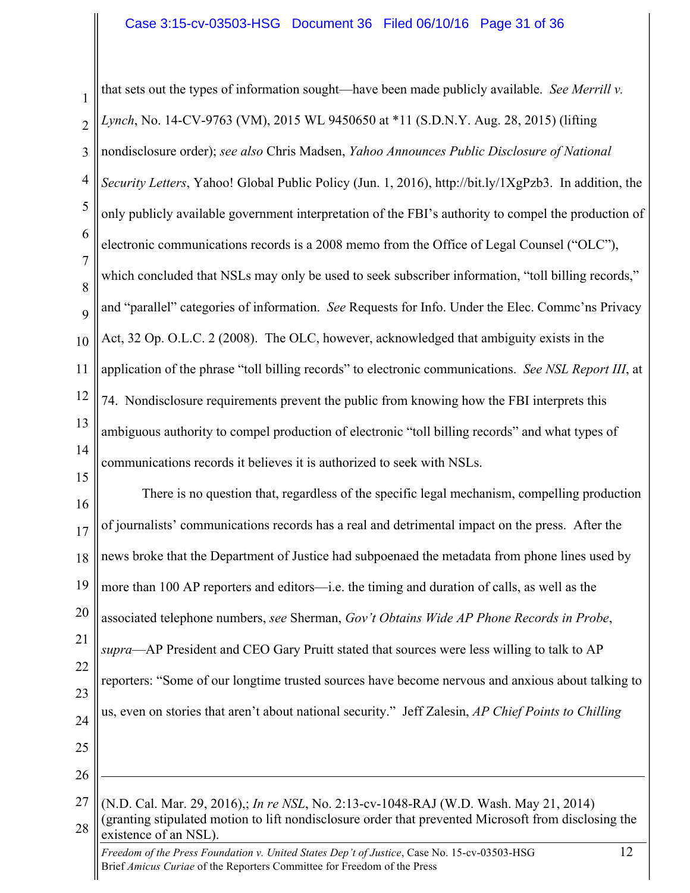1 2 3 4 5 6 7 8 9 10 11 12 13 14 15 16 17 18 19 that sets out the types of information sought—have been made publicly available. *See Merrill v. Lynch*, No. 14-CV-9763 (VM), 2015 WL 9450650 at \*11 (S.D.N.Y. Aug. 28, 2015) (lifting nondisclosure order); *see also* Chris Madsen, *Yahoo Announces Public Disclosure of National Security Letters*, Yahoo! Global Public Policy (Jun. 1, 2016), http://bit.ly/1XgPzb3. In addition, the only publicly available government interpretation of the FBI's authority to compel the production of electronic communications records is a 2008 memo from the Office of Legal Counsel ("OLC"), which concluded that NSLs may only be used to seek subscriber information, "toll billing records," and "parallel" categories of information. *See* Requests for Info. Under the Elec. Commc'ns Privacy Act, 32 Op. O.L.C. 2 (2008). The OLC, however, acknowledged that ambiguity exists in the application of the phrase "toll billing records" to electronic communications. *See NSL Report III*, at 74. Nondisclosure requirements prevent the public from knowing how the FBI interprets this ambiguous authority to compel production of electronic "toll billing records" and what types of communications records it believes it is authorized to seek with NSLs. There is no question that, regardless of the specific legal mechanism, compelling production of journalists' communications records has a real and detrimental impact on the press. After the news broke that the Department of Justice had subpoenaed the metadata from phone lines used by more than 100 AP reporters and editors—i.e. the timing and duration of calls, as well as the

20 associated telephone numbers, *see* Sherman, *Gov't Obtains Wide AP Phone Records in Probe*,

21 22 23 24 *supra*—AP President and CEO Gary Pruitt stated that sources were less willing to talk to AP reporters: "Some of our longtime trusted sources have become nervous and anxious about talking to us, even on stories that aren't about national security." Jeff Zalesin, *AP Chief Points to Chilling* 

25

26

 $\overline{a}$ 

<sup>27</sup> 28 (N.D. Cal. Mar. 29, 2016),; *In re NSL*, No. 2:13-cv-1048-RAJ (W.D. Wash. May 21, 2014) (granting stipulated motion to lift nondisclosure order that prevented Microsoft from disclosing the existence of an NSL).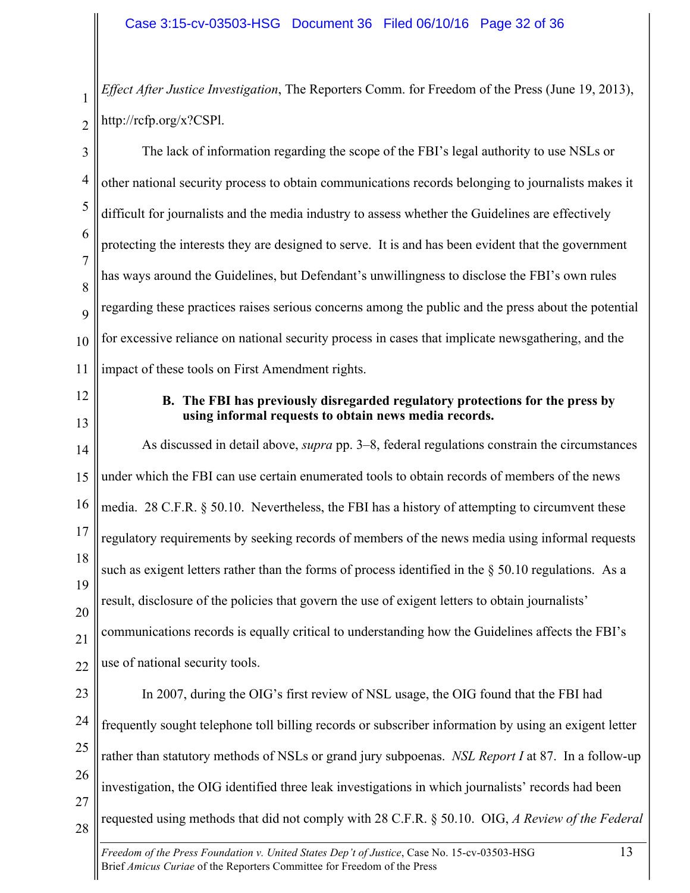1 *Effect After Justice Investigation*, The Reporters Comm. for Freedom of the Press (June 19, 2013), http://rcfp.org/x?CSPl.

3 4 5 6 7 8  $\overline{Q}$ 10 11 The lack of information regarding the scope of the FBI's legal authority to use NSLs or other national security process to obtain communications records belonging to journalists makes it difficult for journalists and the media industry to assess whether the Guidelines are effectively protecting the interests they are designed to serve. It is and has been evident that the government has ways around the Guidelines, but Defendant's unwillingness to disclose the FBI's own rules regarding these practices raises serious concerns among the public and the press about the potential for excessive reliance on national security process in cases that implicate newsgathering, and the impact of these tools on First Amendment rights.

12

13

2

**B. The FBI has previously disregarded regulatory protections for the press by using informal requests to obtain news media records.**

14 15 16 17 18 19 20 21 22 23 24 25 26 As discussed in detail above, *supra* pp. 3–8, federal regulations constrain the circumstances under which the FBI can use certain enumerated tools to obtain records of members of the news media. 28 C.F.R. § 50.10. Nevertheless, the FBI has a history of attempting to circumvent these regulatory requirements by seeking records of members of the news media using informal requests such as exigent letters rather than the forms of process identified in the § 50.10 regulations. As a result, disclosure of the policies that govern the use of exigent letters to obtain journalists' communications records is equally critical to understanding how the Guidelines affects the FBI's use of national security tools. In 2007, during the OIG's first review of NSL usage, the OIG found that the FBI had frequently sought telephone toll billing records or subscriber information by using an exigent letter rather than statutory methods of NSLs or grand jury subpoenas. *NSL Report I* at 87. In a follow-up investigation, the OIG identified three leak investigations in which journalists' records had been

requested using methods that did not comply with 28 C.F.R. § 50.10. OIG, *A Review of the Federal* 

27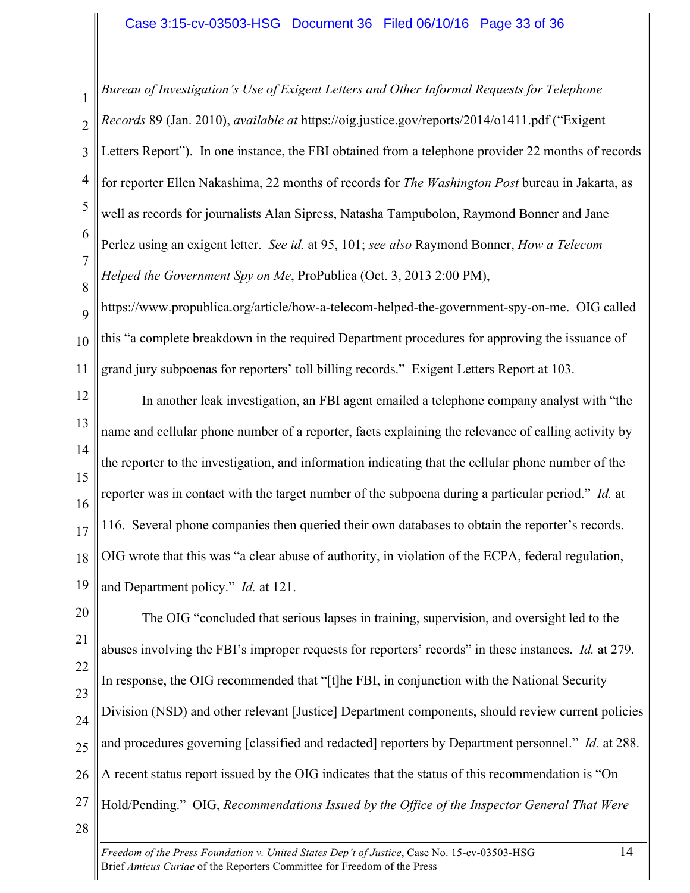1 2 3 4 5 6 7 8 *Bureau of Investigation's Use of Exigent Letters and Other Informal Requests for Telephone Records* 89 (Jan. 2010), *available at* https://oig.justice.gov/reports/2014/o1411.pdf ("Exigent Letters Report"). In one instance, the FBI obtained from a telephone provider 22 months of records for reporter Ellen Nakashima, 22 months of records for *The Washington Post* bureau in Jakarta, as well as records for journalists Alan Sipress, Natasha Tampubolon, Raymond Bonner and Jane Perlez using an exigent letter. *See id.* at 95, 101; *see also* Raymond Bonner, *How a Telecom Helped the Government Spy on Me*, ProPublica (Oct. 3, 2013 2:00 PM),

9 10 11 https://www.propublica.org/article/how-a-telecom-helped-the-government-spy-on-me. OIG called this "a complete breakdown in the required Department procedures for approving the issuance of grand jury subpoenas for reporters' toll billing records." Exigent Letters Report at 103.

12 13 14 15 16 17 18 19 In another leak investigation, an FBI agent emailed a telephone company analyst with "the name and cellular phone number of a reporter, facts explaining the relevance of calling activity by the reporter to the investigation, and information indicating that the cellular phone number of the reporter was in contact with the target number of the subpoena during a particular period." *Id.* at 116. Several phone companies then queried their own databases to obtain the reporter's records. OIG wrote that this was "a clear abuse of authority, in violation of the ECPA, federal regulation, and Department policy." *Id.* at 121.

20 21 22 23 24 25 26 27 28 The OIG "concluded that serious lapses in training, supervision, and oversight led to the abuses involving the FBI's improper requests for reporters' records" in these instances. *Id.* at 279. In response, the OIG recommended that "[t]he FBI, in conjunction with the National Security Division (NSD) and other relevant [Justice] Department components, should review current policies and procedures governing [classified and redacted] reporters by Department personnel." *Id.* at 288. A recent status report issued by the OIG indicates that the status of this recommendation is "On Hold/Pending." OIG, *Recommendations Issued by the Office of the Inspector General That Were*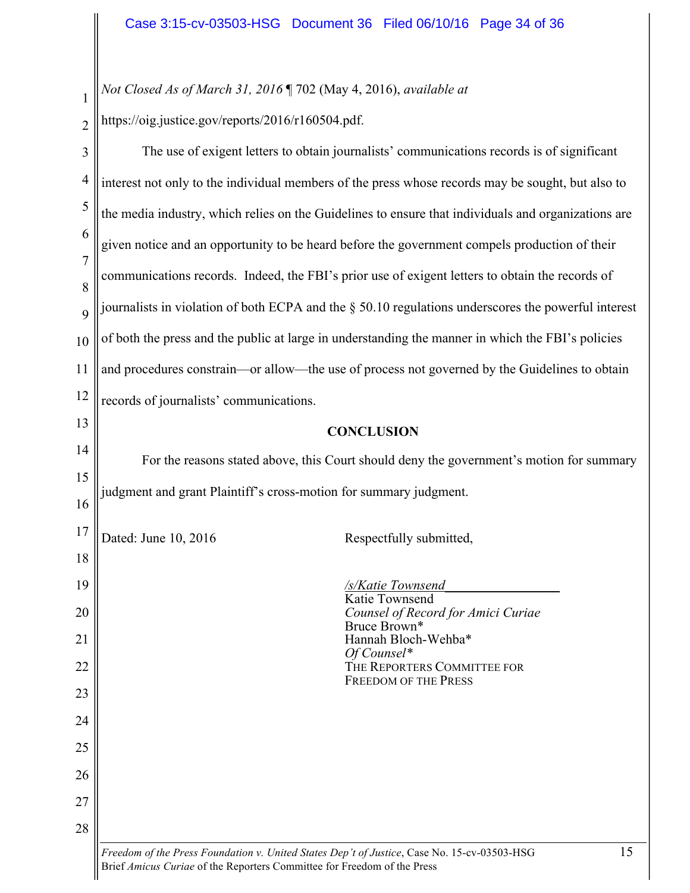*Not Closed As of March 31, 2016* ¶ 702 (May 4, 2016), *available at* 

2 https://oig.justice.gov/reports/2016/r160504.pdf.

1

| 3                   | The use of exigent letters to obtain journalists' communications records is of significant          |  |
|---------------------|-----------------------------------------------------------------------------------------------------|--|
| $\overline{4}$      | interest not only to the individual members of the press whose records may be sought, but also to   |  |
| 5                   | the media industry, which relies on the Guidelines to ensure that individuals and organizations are |  |
| 6                   | given notice and an opportunity to be heard before the government compels production of their       |  |
| $\overline{7}$<br>8 | communications records. Indeed, the FBI's prior use of exigent letters to obtain the records of     |  |
| 9                   | journalists in violation of both ECPA and the § 50.10 regulations underscores the powerful interest |  |
| 10                  | of both the press and the public at large in understanding the manner in which the FBI's policies   |  |
| 11                  | and procedures constrain—or allow—the use of process not governed by the Guidelines to obtain       |  |
| 12                  | records of journalists' communications.                                                             |  |
| 13                  | <b>CONCLUSION</b>                                                                                   |  |
| 14                  | For the reasons stated above, this Court should deny the government's motion for summary            |  |
| 15                  |                                                                                                     |  |
| 16                  | judgment and grant Plaintiff's cross-motion for summary judgment.                                   |  |
| 17                  | Dated: June 10, 2016<br>Respectfully submitted,                                                     |  |
| 18                  |                                                                                                     |  |
| 19                  | /s/Katie Townsend<br>Katie Townsend                                                                 |  |
| 20                  | Counsel of Record for Amici Curiae<br>Bruce Brown*                                                  |  |
| 21                  | Hannah Bloch-Wehba*                                                                                 |  |
| 22                  | $Of$ Counsel*<br>THE REPORTERS COMMITTEE FOR                                                        |  |
| 23                  | <b>FREEDOM OF THE PRESS</b>                                                                         |  |
| 24                  |                                                                                                     |  |
| 25                  |                                                                                                     |  |
| 26                  |                                                                                                     |  |
| 27                  |                                                                                                     |  |
| 28                  |                                                                                                     |  |
|                     | 15<br>Freedom of the Press Foundation v. United States Dep't of Justice, Case No. 15-cv-03503-HSG   |  |

Brief *Amicus Curiae* of the Reporters Committee for Freedom of the Press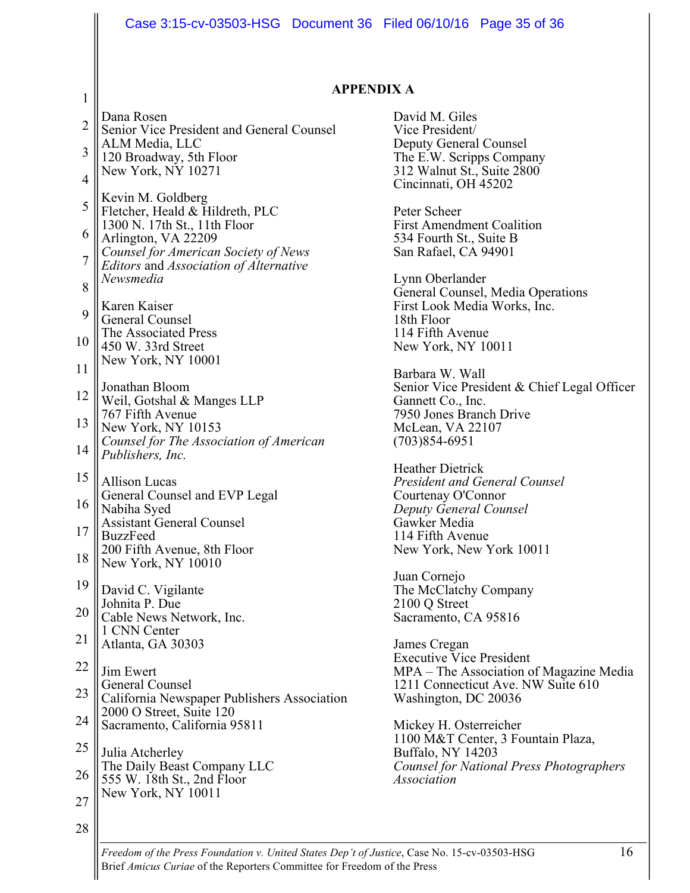|                | Case 3:15-cv-03503-HSG  Document 36  Filed 06/10/16  Page 35  of 36            |                                                                      |
|----------------|--------------------------------------------------------------------------------|----------------------------------------------------------------------|
|                |                                                                                |                                                                      |
|                |                                                                                |                                                                      |
| 1              | <b>APPENDIX A</b>                                                              |                                                                      |
| $\overline{2}$ | Dana Rosen<br>Senior Vice President and General Counsel                        | David M. Giles<br>Vice President/                                    |
| 3              | ALM Media, LLC                                                                 | <b>Deputy General Counsel</b>                                        |
|                | 120 Broadway, 5th Floor<br>New York, NY 10271                                  | The E.W. Scripps Company<br>312 Walnut St., Suite 2800               |
| $\overline{4}$ | Kevin M. Goldberg                                                              | Cincinnati, OH 45202                                                 |
| 5              | Fletcher, Heald & Hildreth, PLC                                                | Peter Scheer                                                         |
| 6              | 1300 N. 17th St., 11th Floor<br>Arlington, VA 22209                            | <b>First Amendment Coalition</b><br>534 Fourth St., Suite B          |
| 7              | Counsel for American Society of News<br>Editors and Association of Alternative | San Rafael, CA 94901                                                 |
| 8              | Newsmedia                                                                      | Lynn Oberlander                                                      |
|                | Karen Kaiser                                                                   | General Counsel, Media Operations<br>First Look Media Works, Inc.    |
| 9              | General Counsel<br>The Associated Press                                        | 18th Floor<br>114 Fifth Avenue                                       |
| 10             | 450 W. 33rd Street                                                             | New York, NY 10011                                                   |
| 11             | New York, NY 10001                                                             | Barbara W. Wall                                                      |
| 12             | Jonathan Bloom<br>Weil, Gotshal & Manges LLP                                   | Senior Vice President & Chief Legal Officer<br>Gannett Co., Inc.     |
| 13             | 767 Fifth Avenue<br>New York, NY 10153                                         | 7950 Jones Branch Drive<br>McLean, VA 22107                          |
| 14             | Counsel for The Association of American                                        | $(703)854-6951$                                                      |
|                | Publishers, Inc.                                                               | <b>Heather Dietrick</b>                                              |
| 15             | <b>Allison Lucas</b><br>General Counsel and EVP Legal                          | <b>President and General Counsel</b><br>Courtenay O'Connor           |
| 16             | Nabiha Syed                                                                    | Deputy General Counsel                                               |
| 17             | <b>Assistant General Counsel</b><br><b>BuzzFeed</b>                            | Gawker Media<br>114 Fifth Avenue                                     |
| 18             | 200 Fifth Avenue, 8th Floor<br>New York, NY 10010                              | New York, New York 10011                                             |
| 19             |                                                                                | Juan Cornejo                                                         |
| 20             | David C. Vigilante<br>Johnita P. Due                                           | The McClatchy Company<br>2100 Q Street                               |
|                | Cable News Network, Inc.<br>1 CNN Center                                       | Sacramento, CA 95816                                                 |
| 21             | Atlanta, GA 30303                                                              | James Cregan<br><b>Executive Vice President</b>                      |
| 22             | Jim Ewert                                                                      | MPA – The Association of Magazine Media                              |
| 23             | General Counsel<br>California Newspaper Publishers Association                 | 1211 Connecticut Ave. NW Suite 610<br>Washington, DC 20036           |
| 24             | 2000 O Street, Suite 120<br>Sacramento, California 95811                       | Mickey H. Osterreicher                                               |
| 25             |                                                                                | 1100 M&T Center, 3 Fountain Plaza,                                   |
| 26             | Julia Atcherley<br>The Daily Beast Company LLC                                 | Buffalo, NY 14203<br><b>Counsel for National Press Photographers</b> |
|                | 555 W. 18th St., 2nd Floor<br>New York, NY 10011                               | <b>Association</b>                                                   |
| 27             |                                                                                |                                                                      |
| 28             |                                                                                |                                                                      |

*Freedom of the Press Foundation v. United States Dep't of Justice*, Case No. 15-cv-03503-HSG 16 Brief *Amicus Curiae* of the Reporters Committee for Freedom of the Press